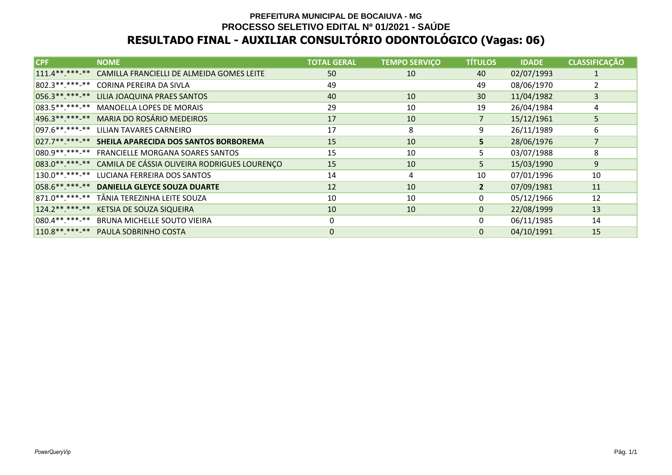# **PREFEITURA MUNICIPAL DE BOCAIUVA - MG PROCESSO SELETIVO EDITAL Nº 01/2021 - SAÚDERESULTADO FINAL - AUXILIAR CONSULTÓRIO ODONTOLÓGICO (Vagas: 06)**

| <b>CPF</b>        | <b>NOME</b>                                  | <b>TOTAL GERAL</b> | <b>TEMPO SERVIÇO</b> | <b>TÍTULOS</b> | <b>IDADE</b> | <b>CLASSIFICAÇÃO</b> |
|-------------------|----------------------------------------------|--------------------|----------------------|----------------|--------------|----------------------|
| $111.4******$     | CAMILLA FRANCIELLI DE ALMEIDA GOMES LEITE    | 50                 | 10                   | 40             | 02/07/1993   | $\mathbf{1}$         |
| 802.3 ** *** -**  | CORINA PEREIRA DA SIVLA                      | 49                 |                      | 49             | 08/06/1970   |                      |
| 056.3 ** *** -**  | LILIA JOAQUINA PRAES SANTOS                  | 40                 | 10                   | 30             | 11/04/1982   | 3                    |
| 083.5 ** *** -**  | MANOELLA LOPES DE MORAIS                     | 29                 | 10                   | 19             | 26/04/1984   | 4                    |
| 496.3 ** *** -**  | MARIA DO ROSÁRIO MEDEIROS                    | 17                 | 10                   | 7              | 15/12/1961   | 5                    |
| 097.6 ** *** -**  | LILIAN TAVARES CARNEIRO                      | 17                 | 8                    | 9              | 26/11/1989   | 6                    |
| $027.7*********$  | SHEILA APARECIDA DOS SANTOS BORBOREMA        | 15                 | 10                   | 5.             | 28/06/1976   | $\overline{7}$       |
| 080.9 ** *** -**  | <b>FRANCIELLE MORGANA SOARES SANTOS</b>      | 15                 | 10                   | 5              | 03/07/1988   | 8                    |
| 083.0 ** *** -**  | CAMILA DE CÁSSIA OLIVEIRA RODRIGUES LOURENÇO | 15                 | 10                   | 5              | 15/03/1990   | 9                    |
| $130.0*********$  | LUCIANA FERREIRA DOS SANTOS                  | 14                 | 4                    | 10             | 07/01/1996   | 10                   |
| 058.6 ** *** -**  | <b>DANIELLA GLEYCE SOUZA DUARTE</b>          | 12                 | 10                   | 2 <sup>2</sup> | 07/09/1981   | 11                   |
| 871.0 **. ***- ** | TÂNIA TEREZINHA LEITE SOUZA                  | 10                 | 10                   | 0              | 05/12/1966   | 12                   |
| $124.2*********$  | <b>KETSIA DE SOUZA SIQUEIRA</b>              | 10                 | 10                   | $\mathbf{0}$   | 22/08/1999   | 13                   |
| $ 080.4******$    | BRUNA MICHELLE SOUTO VIEIRA                  | $\Omega$           |                      | 0              | 06/11/1985   | 14                   |
| $110.8******$     | PAULA SOBRINHO COSTA                         | $\Omega$           |                      | 0              | 04/10/1991   | 15                   |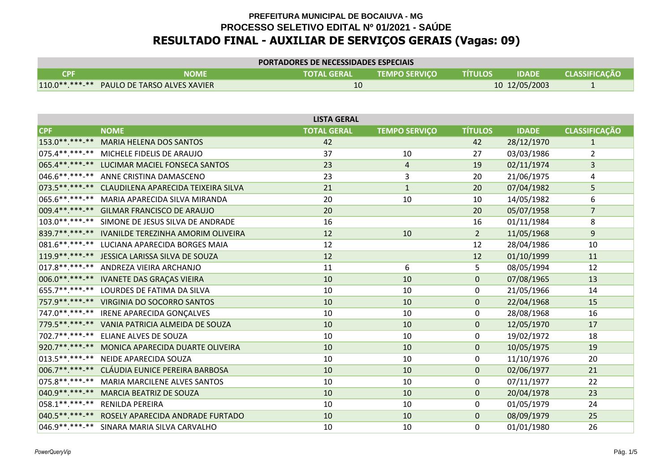| <b>PORTADORES DE NECESSIDADES ESPECIAIS</b> |                                            |                    |                      |                |               |                      |  |  |
|---------------------------------------------|--------------------------------------------|--------------------|----------------------|----------------|---------------|----------------------|--|--|
| CPF                                         | NOME                                       | <b>TOTAL GERAL</b> | <b>TEMPO SERVICO</b> | <b>TITULOS</b> | <b>IDADE</b>  | <b>CLASSIFICACÃO</b> |  |  |
|                                             | 110.0**.***-** PAULO DE TARSO ALVES XAVIER | 10                 |                      |                | 10 12/05/2003 |                      |  |  |

| <b>LISTA GERAL</b> |                                                       |                    |                      |                |              |                      |  |  |  |  |
|--------------------|-------------------------------------------------------|--------------------|----------------------|----------------|--------------|----------------------|--|--|--|--|
| CPF                | <b>NOME</b>                                           | <b>TOTAL GERAL</b> | <b>TEMPO SERVIÇO</b> | <b>TÍTULOS</b> | <b>IDADE</b> | <b>CLASSIFICAÇÃO</b> |  |  |  |  |
| 153.0 ** *** -**   | <b>MARIA HELENA DOS SANTOS</b>                        | 42                 |                      | 42             | 28/12/1970   | $\mathbf{1}$         |  |  |  |  |
| $075.4******$      | MICHELE FIDELIS DE ARAUJO                             | 37                 | 10                   | 27             | 03/03/1986   | 2                    |  |  |  |  |
| 065.4**.***-**     | LUCIMAR MACIEL FONSECA SANTOS                         | 23                 | $\overline{4}$       | 19             | 02/11/1974   | 3                    |  |  |  |  |
|                    | 046.6**.***-** ANNE CRISTINA DAMASCENO                | 23                 | 3                    | 20             | 21/06/1975   | 4                    |  |  |  |  |
|                    | 073.5 **. ***- ** CLAUDILENA APARECIDA TEIXEIRA SILVA | 21                 | $\mathbf{1}$         | 20             | 07/04/1982   | 5                    |  |  |  |  |
| 065.6 ** *** -**   | MARIA APARECIDA SILVA MIRANDA                         | 20                 | 10                   | 10             | 14/05/1982   | 6                    |  |  |  |  |
|                    | 009.4**.***-** GILMAR FRANCISCO DE ARAUJO             | 20                 |                      | 20             | 05/07/1958   | $\overline{7}$       |  |  |  |  |
| $103.0*********$   | SIMONE DE JESUS SILVA DE ANDRADE                      | 16                 |                      | 16             | 01/11/1984   | 8                    |  |  |  |  |
| 839.7 ** *** -**   | IVANILDE TEREZINHA AMORIM OLIVEIRA                    | 12                 | 10                   | $2^{\circ}$    | 11/05/1968   | 9                    |  |  |  |  |
| 081.6 **. ***-**   | LUCIANA APARECIDA BORGES MAIA                         | 12                 |                      | 12             | 28/04/1986   | 10                   |  |  |  |  |
| 119.9 ** ***-**    | JESSICA LARISSA SILVA DE SOUZA                        | 12                 |                      | 12             | 01/10/1999   | 11                   |  |  |  |  |
|                    | 017.8 **. ***-** ANDREZA VIEIRA ARCHANJO              | 11                 | 6                    | 5              | 08/05/1994   | 12                   |  |  |  |  |
|                    | 006.0**.***-** IVANETE DAS GRAÇAS VIEIRA              | 10                 | 10                   | $\mathbf{0}$   | 07/08/1965   | 13                   |  |  |  |  |
| 655.7**.***-**     | LOURDES DE FATIMA DA SILVA                            | 10                 | 10                   | 0              | 21/05/1966   | 14                   |  |  |  |  |
|                    | 757.9**.***-** VIRGINIA DO SOCORRO SANTOS             | 10                 | 10                   | $\mathbf{0}$   | 22/04/1968   | 15                   |  |  |  |  |
| 747.0 ** *** -**   | IRENE APARECIDA GONÇALVES                             | 10                 | 10                   | 0              | 28/08/1968   | 16                   |  |  |  |  |
|                    | 779.5**.***-** VANIA PATRICIA ALMEIDA DE SOUZA        | 10                 | 10                   | $\mathbf{0}$   | 12/05/1970   | 17                   |  |  |  |  |
| 702.7**.***-**     | ELIANE ALVES DE SOUZA                                 | 10                 | 10                   | 0              | 19/02/1972   | 18                   |  |  |  |  |
| 920.7**.***-**     | MONICA APARECIDA DUARTE OLIVEIRA                      | 10                 | 10                   | $\mathbf{0}$   | 10/05/1975   | 19                   |  |  |  |  |
| $013.5*********$   | NEIDE APARECIDA SOUZA                                 | 10                 | 10                   | 0              | 11/10/1976   | 20                   |  |  |  |  |
| 006.7**.***-**     | CLÁUDIA EUNICE PEREIRA BARBOSA                        | 10                 | 10                   | $\Omega$       | 02/06/1977   | 21                   |  |  |  |  |
| 075.8 ** *** -**   | <b>MARIA MARCILENE ALVES SANTOS</b>                   | 10                 | 10                   | 0              | 07/11/1977   | 22                   |  |  |  |  |
| 040.9 ** *** -**   | MARCIA BEATRIZ DE SOUZA                               | 10                 | 10                   | $\mathbf{0}$   | 20/04/1978   | 23                   |  |  |  |  |
| 058.1 ** ***-**    | RENILDA PEREIRA                                       | 10                 | 10                   | 0              | 01/05/1979   | 24                   |  |  |  |  |
| 040.5 **. ***-**   | ROSELY APARECIDA ANDRADE FURTADO                      | 10                 | 10                   | $\mathbf{0}$   | 08/09/1979   | 25                   |  |  |  |  |
|                    | 046.9 ** .*** -** SINARA MARIA SILVA CARVALHO         | 10                 | 10                   | $\mathbf{0}$   | 01/01/1980   | 26                   |  |  |  |  |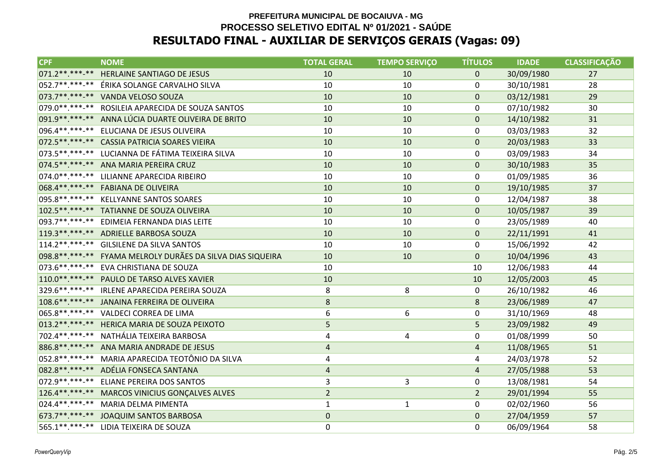| <b>CPF</b>            | <b>NOME</b>                                                | <b>TOTAL GERAL</b> | <b>TEMPO SERVIÇO</b> | <b>TÍTULOS</b> | <b>IDADE</b> | <b>CLASSIFICAÇÃO</b> |
|-----------------------|------------------------------------------------------------|--------------------|----------------------|----------------|--------------|----------------------|
| $071.2*********$      | <b>HERLAINE SANTIAGO DE JESUS</b>                          | 10                 | 10                   | $\mathbf{0}$   | 30/09/1980   | 27                   |
|                       | 052.7**.***-** ÉRIKA SOLANGE CARVALHO SILVA                | 10                 | 10                   | $\mathbf{0}$   | 30/10/1981   | 28                   |
|                       | 073.7**.***-** VANDA VELOSO SOUZA                          | 10                 | 10                   | $\mathbf{0}$   | 03/12/1981   | 29                   |
|                       | 079.0**.***-** ROSILEIA APARECIDA DE SOUZA SANTOS          | 10                 | 10                   | $\mathbf{0}$   | 07/10/1982   | 30                   |
|                       | 091.9 ** .*** -** ANNA LÚCIA DUARTE OLIVEIRA DE BRITO      | 10                 | 10                   | $\mathbf{0}$   | 14/10/1982   | 31                   |
|                       | 096.4**.***-** ELUCIANA DE JESUS OLIVEIRA                  | 10                 | 10                   | $\mathbf{0}$   | 03/03/1983   | 32                   |
|                       | 072.5 ** ***- ** CASSIA PATRICIA SOARES VIEIRA             | 10                 | 10                   | $\mathbf 0$    | 20/03/1983   | 33                   |
|                       | 073.5**.***-** LUCIANNA DE FÁTIMA TEIXEIRA SILVA           | 10                 | 10                   | 0              | 03/09/1983   | 34                   |
|                       | 074.5 ** ***-** ANA MARIA PEREIRA CRUZ                     | 10                 | 10                   | $\mathbf{0}$   | 30/10/1983   | 35                   |
|                       | 074.0**.***-** LILIANNE APARECIDA RIBEIRO                  | 10                 | 10                   | 0              | 01/09/1985   | 36                   |
|                       | 068.4**.***-** FABIANA DE OLIVEIRA                         | 10                 | 10                   | $\mathbf{0}$   | 19/10/1985   | 37                   |
|                       | 095.8**.***-** KELLYANNE SANTOS SOARES                     | 10                 | 10                   | 0              | 12/04/1987   | 38                   |
|                       | 102.5**.***-** TATIANNE DE SOUZA OLIVEIRA                  | 10                 | 10                   | $\mathbf{0}$   | 10/05/1987   | 39                   |
|                       | 093.7**.***-** EDIMEIA FERNANDA DIAS LEITE                 | 10                 | 10                   | 0              | 23/05/1989   | 40                   |
|                       | 119.3**.***-** ADRIELLE BARBOSA SOUZA                      | 10                 | 10                   | $\mathbf{0}$   | 22/11/1991   | 41                   |
|                       | 114.2**.***-** GILSILENE DA SILVA SANTOS                   | 10                 | 10                   | 0              | 15/06/1992   | 42                   |
|                       | 098.8**.***-** FYAMA MELROLY DURÃES DA SILVA DIAS SIQUEIRA | 10                 | 10                   | $\Omega$       | 10/04/1996   | 43                   |
|                       | 073.6**.***-** EVA CHRISTIANA DE SOUZA                     | 10                 |                      | 10             | 12/06/1983   | 44                   |
|                       | 110.0**.***-** PAULO DE TARSO ALVES XAVIER                 | 10                 |                      | 10             | 12/05/2003   | 45                   |
|                       | 329.6**.***-** IRLENE APARECIDA PEREIRA SOUZA              | 8                  | 8                    | 0              | 26/10/1982   | 46                   |
|                       | 108.6**.***-** JANAINA FERREIRA DE OLIVEIRA                | $\bf 8$            |                      | 8              | 23/06/1989   | 47                   |
|                       | 065.8**.***-** VALDECI CORREA DE LIMA                      | 6                  | 6                    | 0              | 31/10/1969   | 48                   |
|                       | 013.2 ** .***-** HERICA MARIA DE SOUZA PEIXOTO             | 5                  |                      | 5              | 23/09/1982   | 49                   |
|                       | 702.4**.***-** NATHÁLIA TEIXEIRA BARBOSA                   | 4                  | 4                    | $\mathbf{0}$   | 01/08/1999   | 50                   |
|                       | 886.8**.***-** ANA MARIA ANDRADE DE JESUS                  | $\overline{a}$     |                      | $\overline{4}$ | 11/08/1965   | 51                   |
|                       | 052.8 * * .* * - * * MARIA APARECIDA TEOTÔNIO DA SILVA     | 4                  |                      | 4              | 24/03/1978   | 52                   |
|                       | 082.8**.***-** ADÉLIA FONSECA SANTANA                      | $\overline{4}$     |                      | $\overline{4}$ | 27/05/1988   | 53                   |
| 072.9 * * * * * - * * | ELIANE PEREIRA DOS SANTOS                                  | $\mathbf{3}$       | 3                    | $\mathbf{0}$   | 13/08/1981   | 54                   |
|                       | 126.4**.***-** MARCOS VINICIUS GONÇALVES ALVES             | $\overline{2}$     |                      | $\overline{2}$ | 29/01/1994   | 55                   |
|                       | 024.4**.***-** MARIA DELMA PIMENTA                         | $\mathbf{1}$       | $\mathbf{1}$         | $\mathbf 0$    | 02/02/1960   | 56                   |
|                       | 673.7**.***-** JOAQUIM SANTOS BARBOSA                      | $\pmb{0}$          |                      | $\mathbf{0}$   | 27/04/1959   | 57                   |
|                       | 565.1**.***-** LIDIA TEIXEIRA DE SOUZA                     | 0                  |                      | $\mathbf{0}$   | 06/09/1964   | 58                   |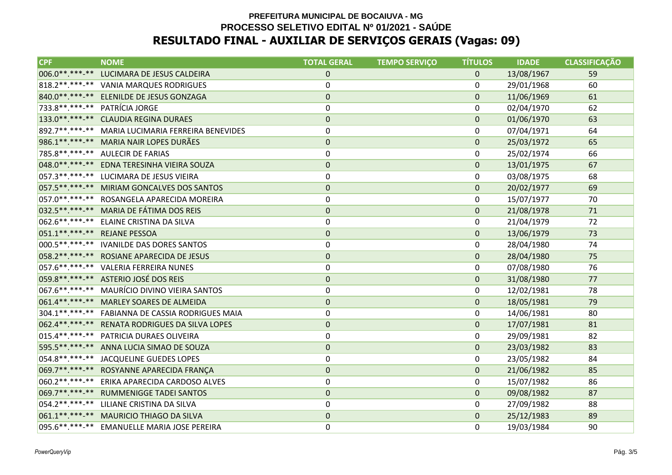| <b>CPF</b>                   | <b>NOME</b>                                       | <b>TOTAL GERAL</b> | <b>TEMPO SERVIÇO</b> | <b>TÍTULOS</b> | <b>IDADE</b> | <b>CLASSIFICAÇÃO</b> |
|------------------------------|---------------------------------------------------|--------------------|----------------------|----------------|--------------|----------------------|
| 006.0**.***-**               | LUCIMARA DE JESUS CALDEIRA                        | $\overline{0}$     |                      | $\mathbf{0}$   | 13/08/1967   | 59                   |
|                              | 818.2**.***-** VANIA MARQUES RODRIGUES            | 0                  |                      | 0              | 29/01/1968   | 60                   |
|                              | 840.0**.***-** ELENILDE DE JESUS GONZAGA          | $\pmb{0}$          |                      | $\mathbf{0}$   | 11/06/1969   | 61                   |
|                              | 733.8 **. ***- ** PATRÍCIA JORGE                  | 0                  |                      | 0              | 02/04/1970   | 62                   |
|                              | 133.0**.***-** CLAUDIA REGINA DURAES              | $\mathbf 0$        |                      | $\mathbf{0}$   | 01/06/1970   | 63                   |
|                              | 892.7**.***-** MARIA LUCIMARIA FERREIRA BENEVIDES | 0                  |                      | 0              | 07/04/1971   | 64                   |
|                              | 986.1**.***-** MARIA NAIR LOPES DURÃES            | $\mathbf 0$        |                      | $\mathbf{0}$   | 25/03/1972   | 65                   |
|                              | 785.8**.***-** AULECIR DE FARIAS                  | 0                  |                      | 0              | 25/02/1974   | 66                   |
| 048.0 ** *** -**             | EDNA TERESINHA VIEIRA SOUZA                       | $\pmb{0}$          |                      | $\mathbf 0$    | 13/01/1975   | 67                   |
| 057.3 ** *** -**             | LUCIMARA DE JESUS VIEIRA                          | 0                  |                      | 0              | 03/08/1975   | 68                   |
|                              | 057.5** ***-** MIRIAM GONCALVES DOS SANTOS        | $\pmb{0}$          |                      | $\mathbf{0}$   | 20/02/1977   | 69                   |
| $ 057.0*********$            | ROSANGELA APARECIDA MOREIRA                       | 0                  |                      | 0              | 15/07/1977   | 70                   |
|                              | 032.5**.***-** MARIA DE FÁTIMA DOS REIS           | $\pmb{0}$          |                      | $\mathbf{0}$   | 21/08/1978   | 71                   |
| $062.6*********$             | ELAINE CRISTINA DA SILVA                          | 0                  |                      | 0              | 21/04/1979   | 72                   |
| 051.1**.***-** REJANE PESSOA |                                                   | $\pmb{0}$          |                      | $\mathbf 0$    | 13/06/1979   | 73                   |
|                              | 000.5**.***-** IVANILDE DAS DORES SANTOS          | 0                  |                      | $\Omega$       | 28/04/1980   | 74                   |
|                              | 058.2**.***-** ROSIANE APARECIDA DE JESUS         | $\pmb{0}$          |                      | $\mathbf 0$    | 28/04/1980   | 75                   |
|                              | 057.6**.***-** VALERIA FERREIRA NUNES             | 0                  |                      | 0              | 07/08/1980   | 76                   |
|                              | 059.8 **. ***- ** ASTERIO JOSÉ DOS REIS           | $\pmb{0}$          |                      | $\mathbf 0$    | 31/08/1980   | 77                   |
|                              | 067.6**.***-** MAURÍCIO DIVINO VIEIRA SANTOS      | 0                  |                      | 0              | 12/02/1981   | 78                   |
|                              | 061.4**.***-** MARLEY SOARES DE ALMEIDA           | $\pmb{0}$          |                      | $\mathbf 0$    | 18/05/1981   | 79                   |
| 304.1**.***-**               | FABIANNA DE CASSIA RODRIGUES MAIA                 | 0                  |                      | 0              | 14/06/1981   | 80                   |
|                              | 062.4**.***-** RENATA RODRIGUES DA SILVA LOPES    | $\pmb{0}$          |                      | $\Omega$       | 17/07/1981   | 81                   |
| $015.4******$                | PATRICIA DURAES OLIVEIRA                          | 0                  |                      | $\Omega$       | 29/09/1981   | 82                   |
|                              | 595.5**.***-** ANNA LUCIA SIMAO DE SOUZA          | $\mathbf 0$        |                      | $\Omega$       | 23/03/1982   | 83                   |
|                              | 054.8**.***-** JACQUELINE GUEDES LOPES            | 0                  |                      | 0              | 23/05/1982   | 84                   |
|                              | 069.7** ***-** ROSYANNE APARECIDA FRANÇA          | $\pmb{0}$          |                      | $\mathbf{0}$   | 21/06/1982   | 85                   |
| $060.2*********$             | ERIKA APARECIDA CARDOSO ALVES                     | 0                  |                      | 0              | 15/07/1982   | 86                   |
| 069.7**.***-**               | RUMMENIGGE TADEI SANTOS                           | $\mathbf 0$        |                      | $\mathbf{0}$   | 09/08/1982   | 87                   |
| $054.2*********$             | LILIANE CRISTINA DA SILVA                         | 0                  |                      | 0              | 27/09/1982   | 88                   |
|                              | 061.1**.***-** MAURICIO THIAGO DA SILVA           | $\pmb{0}$          |                      | $\mathbf{0}$   | 25/12/1983   | 89                   |
|                              | 095.6 **. ***-** EMANUELLE MARIA JOSE PEREIRA     | 0                  |                      | 0              | 19/03/1984   | 90                   |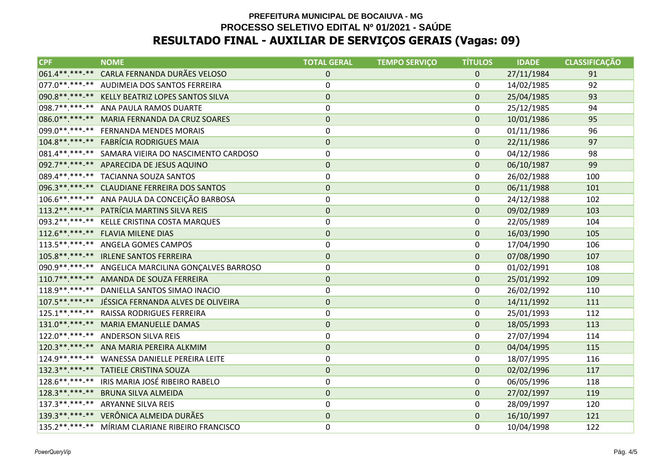| <b>CPF</b>       | <b>NOME</b>                                         | <b>TOTAL GERAL</b> | <b>TEMPO SERVIÇO</b> | <b>TÍTULOS</b> | <b>IDADE</b> | <b>CLASSIFICAÇÃO</b> |
|------------------|-----------------------------------------------------|--------------------|----------------------|----------------|--------------|----------------------|
|                  | 061.4**.***-** CARLA FERNANDA DURÃES VELOSO         | $\mathbf{0}$       |                      | $\mathbf{0}$   | 27/11/1984   | 91                   |
|                  | 077.0**.***-** AUDIMEIA DOS SANTOS FERREIRA         | 0                  |                      | 0              | 14/02/1985   | 92                   |
|                  | 090.8**.***-** KELLY BEATRIZ LOPES SANTOS SILVA     | $\pmb{0}$          |                      | $\mathbf 0$    | 25/04/1985   | 93                   |
|                  | 098.7**.***-** ANA PAULA RAMOS DUARTE               | 0                  |                      | 0              | 25/12/1985   | 94                   |
|                  | 086.0**.***-** MARIA FERNANDA DA CRUZ SOARES        | $\pmb{0}$          |                      | $\mathbf{0}$   | 10/01/1986   | 95                   |
|                  | 099.0**.***-** FERNANDA MENDES MORAIS               | 0                  |                      | 0              | 01/11/1986   | 96                   |
|                  | 104.8**.***-** FABRÍCIA RODRIGUES MAIA              | $\pmb{0}$          |                      | $\mathbf 0$    | 22/11/1986   | 97                   |
|                  | 081.4**.***-** SAMARA VIEIRA DO NASCIMENTO CARDOSO  | 0                  |                      | 0              | 04/12/1986   | 98                   |
|                  | 092.7**.***-** APARECIDA DE JESUS AQUINO            | $\pmb{0}$          |                      | $\Omega$       | 06/10/1987   | 99                   |
|                  | 089.4**.***-** TACIANNA SOUZA SANTOS                | 0                  |                      | 0              | 26/02/1988   | 100                  |
|                  | 096.3**.***-** CLAUDIANE FERREIRA DOS SANTOS        | $\pmb{0}$          |                      | $\mathbf 0$    | 06/11/1988   | 101                  |
|                  | 106.6**.***-** ANA PAULA DA CONCEIÇÃO BARBOSA       | 0                  |                      | 0              | 24/12/1988   | 102                  |
|                  | 113.2**.***-** PATRÍCIA MARTINS SILVA REIS          | $\mathbf 0$        |                      | 0              | 09/02/1989   | 103                  |
| 093.2 ** *** -** | KELLE CRISTINA COSTA MARQUES                        | 0                  |                      | 0              | 22/05/1989   | 104                  |
|                  | 112.6**.***-** FLAVIA MILENE DIAS                   | $\pmb{0}$          |                      | $\mathbf 0$    | 16/03/1990   | 105                  |
|                  | 113.5**.***-** ANGELA GOMES CAMPOS                  | 0                  |                      | 0              | 17/04/1990   | 106                  |
|                  | 105.8** ***-** IRLENE SANTOS FERREIRA               | $\pmb{0}$          |                      | $\mathbf{0}$   | 07/08/1990   | 107                  |
|                  | 090.9**.***-** ANGELICA MARCILINA GONÇALVES BARROSO | 0                  |                      | 0              | 01/02/1991   | 108                  |
|                  | 110.7**.***-** AMANDA DE SOUZA FERREIRA             | $\pmb{0}$          |                      | $\mathbf 0$    | 25/01/1992   | 109                  |
| $118.9******$    | DANIELLA SANTOS SIMAO INACIO                        | 0                  |                      | 0              | 26/02/1992   | 110                  |
|                  | 107.5**.***-** JÉSSICA FERNANDA ALVES DE OLIVEIRA   | $\pmb{0}$          |                      | $\mathbf{0}$   | 14/11/1992   | 111                  |
| $125.1******$    | <b>RAISSA RODRIGUES FERREIRA</b>                    | 0                  |                      | 0              | 25/01/1993   | 112                  |
|                  | 131.0**.***-** MARIA EMANUELLE DAMAS                | $\pmb{0}$          |                      | $\mathbf 0$    | 18/05/1993   | 113                  |
|                  | 122.0**.***-** ANDERSON SILVA REIS                  | 0                  |                      | 0              | 27/07/1994   | 114                  |
|                  | 120.3**.***-** ANA MARIA PEREIRA ALKMIM             | $\mathbf 0$        |                      | $\mathbf{0}$   | 04/04/1995   | 115                  |
|                  | 124.9 **. ***- ** WANESSA DANIELLE PEREIRA LEITE    | 0                  |                      | 0              | 18/07/1995   | 116                  |
|                  | 132.3**.***-** TATIELE CRISTINA SOUZA               | $\pmb{0}$          |                      | $\mathbf 0$    | 02/02/1996   | 117                  |
|                  | 128.6**.***-** IRIS MARIA JOSÉ RIBEIRO RABELO       | 0                  |                      | 0              | 06/05/1996   | 118                  |
| $128.3*********$ | <b>BRUNA SILVA ALMEIDA</b>                          | $\pmb{0}$          |                      | $\mathbf{0}$   | 27/02/1997   | 119                  |
|                  | 137.3**.***-** ARYANNE SILVA REIS                   | 0                  |                      | 0              | 28/09/1997   | 120                  |
|                  | 139.3 **. ***- ** VERÔNICA ALMEIDA DURÃES           | $\pmb{0}$          |                      | $\mathbf 0$    | 16/10/1997   | 121                  |
|                  | 135.2**.***-** MÍRIAM CLARIANE RIBEIRO FRANCISCO    | 0                  |                      | $\Omega$       | 10/04/1998   | 122                  |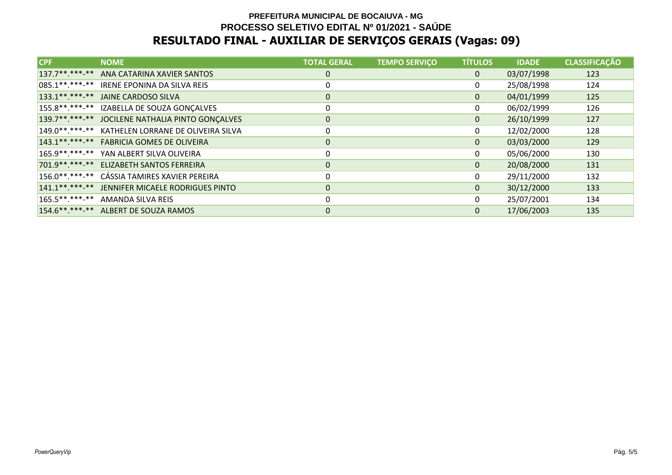| <b>CPF</b>     | <b>NOME</b>                                      | <b>TOTAL GERAL</b> | <b>TEMPO SERVIÇO</b> | <b>TÍTULOS</b> | <b>IDADE</b> | <b>CLASSIFICAÇÃO</b> |
|----------------|--------------------------------------------------|--------------------|----------------------|----------------|--------------|----------------------|
| $137.7******$  | ANA CATARINA XAVIER SANTOS                       | 0                  |                      | $\mathbf{0}$   | 03/07/1998   | 123                  |
| $085.1******$  | IRENE EPONINA DA SILVA REIS                      | 0                  |                      |                | 25/08/1998   | 124                  |
| $133.1******$  | JAINE CARDOSO SILVA                              | 0                  |                      | $\Omega$       | 04/01/1999   | 125                  |
|                | 155.8**.***-** IZABELLA DE SOUZA GONÇALVES       | 0                  |                      | 0              | 06/02/1999   | 126                  |
|                | 139.7**.***-** JOCILENE NATHALIA PINTO GONÇALVES | $\pmb{0}$          |                      | $\Omega$       | 26/10/1999   | 127                  |
| $149.0******$  | KATHELEN LORRANE DE OLIVEIRA SILVA               | 0                  |                      | 0              | 12/02/2000   | 128                  |
| $143.1******$  | <b>FABRICIA GOMES DE OLIVEIRA</b>                | $\mathbf{0}$       |                      | $\Omega$       | 03/03/2000   | 129                  |
| 165.9**.***-** | YAN ALBERT SILVA OLIVEIRA                        | 0                  |                      |                | 05/06/2000   | 130                  |
| 701.9**.***-** | ELIZABETH SANTOS FERREIRA                        | $\pmb{0}$          |                      | $\Omega$       | 20/08/2000   | 131                  |
| 156.0**.***-** | CÁSSIA TAMIRES XAVIER PEREIRA                    | 0                  |                      | 0              | 29/11/2000   | 132                  |
| $141.1******$  | JENNIFER MICAELE RODRIGUES PINTO                 | $\mathbf 0$        |                      | $\mathbf{0}$   | 30/12/2000   | 133                  |
|                | 165.5**.***-** AMANDA SILVA REIS                 | 0                  |                      | 0              | 25/07/2001   | 134                  |
|                | 154.6**.***-** ALBERT DE SOUZA RAMOS             | 0                  |                      | $\Omega$       | 17/06/2003   | 135                  |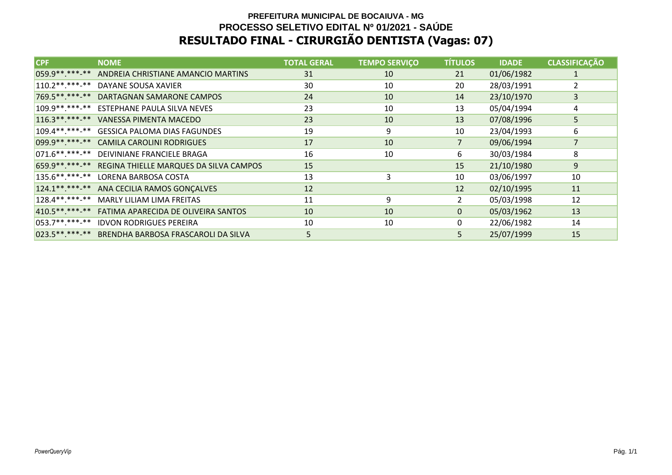# **PREFEITURA MUNICIPAL DE BOCAIUVA - MG PROCESSO SELETIVO EDITAL Nº 01/2021 - SAÚDERESULTADO FINAL - CIRURGIÃO DENTISTA (Vagas: 07)**

| <b>CPF</b>       | <b>NOME</b>                                           | <b>TOTAL GERAL</b> | <b>TEMPO SERVIÇO</b> | <b>TÍTULOS</b> | <b>IDADE</b> | <b>CLASSIFICAÇÃO</b> |
|------------------|-------------------------------------------------------|--------------------|----------------------|----------------|--------------|----------------------|
| 059.9 ** ***-**  | ANDREIA CHRISTIANE AMANCIO MARTINS                    | 31                 | 10                   | 21             | 01/06/1982   |                      |
| $110.2*********$ | DAYANE SOUSA XAVIER                                   | 30                 | 10                   | 20             | 28/03/1991   | 2                    |
|                  | 769.5** ***-** DARTAGNAN SAMARONE CAMPOS              | 24                 | 10                   | 14             | 23/10/1970   | 3                    |
|                  | 109.9**.***-** ESTEPHANE PAULA SILVA NEVES            | 23                 | 10                   | 13             | 05/04/1994   | 4                    |
| $116.3*********$ | VANESSA PIMENTA MACEDO                                | 23                 | 10                   | 13             | 07/08/1996   | 5                    |
|                  | 109.4**.***-** GESSICA PALOMA DIAS FAGUNDES           | 19                 | 9                    | 10             | 23/04/1993   | 6                    |
|                  | 099.9**.***-** CAMILA CAROLINI RODRIGUES              | 17                 | 10                   | 7              | 09/06/1994   | $\overline{7}$       |
|                  | 071.6**.***-** DEIVINIANE FRANCIELE BRAGA             | 16                 | 10                   | 6              | 30/03/1984   | 8                    |
|                  | 659.9** ***-** REGINA THIELLE MARQUES DA SILVA CAMPOS | 15                 |                      | 15             | 21/10/1980   | 9                    |
|                  | 135.6**.***-** LORENA BARBOSA COSTA                   | 13                 | 3                    | 10             | 03/06/1997   | 10                   |
| $124.1******$    | ANA CECILIA RAMOS GONÇALVES                           | 12                 |                      | 12             | 02/10/1995   | 11                   |
| $128.4******$    | MARLY LILIAM LIMA FREITAS                             | 11                 | 9                    | $\overline{2}$ | 05/03/1998   | 12                   |
|                  | 410.5**.***-** FATIMA APARECIDA DE OLIVEIRA SANTOS    | 10                 | 10                   | $\mathbf{0}$   | 05/03/1962   | 13                   |
| $053.7*********$ | <b>IDVON RODRIGUES PEREIRA</b>                        | 10                 | 10                   | 0              | 22/06/1982   | 14                   |
| 023.5 ** *** -** | BRENDHA BARBOSA FRASCAROLI DA SILVA                   | 5                  |                      | 5              | 25/07/1999   | 15                   |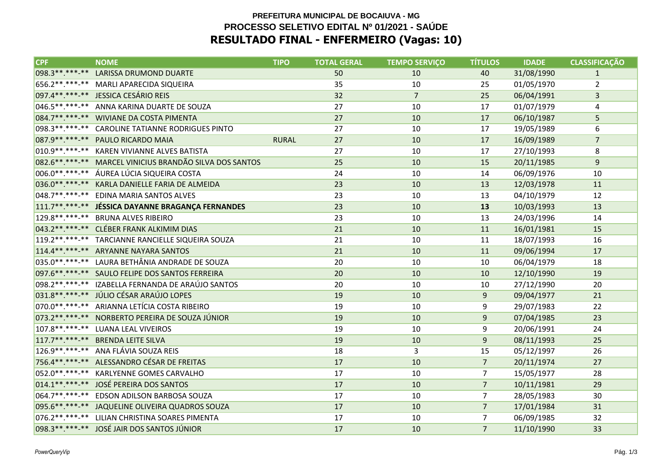### **PREFEITURA MUNICIPAL DE BOCAIUVA - MG PROCESSO SELETIVO EDITAL Nº 01/2021 - SAÚDERESULTADO FINAL - ENFERMEIRO (Vagas: 10)**

| <b>CPF</b>       | <b>NOME</b>                                             | <b>TIPO</b>  | <b>TOTAL GERAL</b> | <b>TEMPO SERVIÇO</b> | <b>TÍTULOS</b> | <b>IDADE</b> | <b>CLASSIFICACÃO</b> |
|------------------|---------------------------------------------------------|--------------|--------------------|----------------------|----------------|--------------|----------------------|
| 098.3 ** *** **  | LARISSA DRUMOND DUARTE                                  |              | 50                 | 10                   | 40             | 31/08/1990   | $\mathbf{1}$         |
| 656.2**.***.**   | MARLI APARECIDA SIQUEIRA                                |              | 35                 | 10                   | 25             | 01/05/1970   | $\overline{2}$       |
|                  | 097.4**.***-** JESSICA CESÁRIO REIS                     |              | 32                 | $\overline{7}$       | 25             | 06/04/1991   | $\overline{3}$       |
|                  | 046.5**.***-** ANNA KARINA DUARTE DE SOUZA              |              | 27                 | 10                   | 17             | 01/07/1979   | 4                    |
|                  | 084.7******* WIVIANE DA COSTA PIMENTA                   |              | 27                 | 10                   | 17             | 06/10/1987   | 5                    |
| 098.3 ** *** **  | CAROLINE TATIANNE RODRIGUES PINTO                       |              | 27                 | 10                   | 17             | 19/05/1989   | 6                    |
|                  | 087.9 ** .*** .** PAULO RICARDO MAIA                    | <b>RURAL</b> | 27                 | 10                   | 17             | 16/09/1989   | $\overline{7}$       |
| 010.9 ** *** **  | KAREN VIVIANNE ALVES BATISTA                            |              | 27                 | 10                   | 17             | 27/10/1993   | 8                    |
|                  | 082.6**.***.** MARCEL VINICIUS BRANDÃO SILVA DOS SANTOS |              | 25                 | 10                   | 15             | 20/11/1985   | $\mathsf 9$          |
|                  | 006.0**.***-** ÁUREA LÚCIA SIQUEIRA COSTA               |              | 24                 | 10                   | 14             | 06/09/1976   | 10                   |
| 036.0 ** *** **  | KARLA DANIELLE FARIA DE ALMEIDA                         |              | 23                 | 10                   | 13             | 12/03/1978   | 11                   |
| $048.7******$    | EDINA MARIA SANTOS ALVES                                |              | 23                 | 10                   | 13             | 04/10/1979   | 12                   |
|                  | 111.7**.***.** JÉSSICA DAYANNE BRAGANÇA FERNANDES       |              | 23                 | 10                   | 13             | 10/03/1993   | 13                   |
|                  | 129.8**.***-** BRUNA ALVES RIBEIRO                      |              | 23                 | 10                   | 13             | 24/03/1996   | 14                   |
|                  | 043.2 ** .*** -** CLÉBER FRANK ALKIMIM DIAS             |              | 21                 | 10                   | 11             | 16/01/1981   | 15                   |
| $119.2*********$ | TARCIANNE RANCIELLE SIQUEIRA SOUZA                      |              | 21                 | 10                   | 11             | 18/07/1993   | 16                   |
|                  | 114.4**.***.** ARYANNE NAYARA SANTOS                    |              | 21                 | 10                   | 11             | 09/06/1994   | 17                   |
|                  | 035.0**.***-** LAURA BETHÂNIA ANDRADE DE SOUZA          |              | 20                 | 10                   | 10             | 06/04/1979   | 18                   |
|                  | 097.6 ** .*** ** SAULO FELIPE DOS SANTOS FERREIRA       |              | 20                 | 10                   | 10             | 12/10/1990   | 19                   |
|                  | 098.2 ** .*** ** IZABELLA FERNANDA DE ARAÚJO SANTOS     |              | 20                 | 10                   | 10             | 27/12/1990   | 20                   |
|                  | 031.8 ** *** ** JÚLIO CÉSAR ARAÚJO LOPES                |              | 19                 | 10                   | 9              | 09/04/1977   | 21                   |
| 070.0 ** *** **  | ARIANNA LETÍCIA COSTA RIBEIRO                           |              | 19                 | 10                   | 9              | 29/07/1983   | 22                   |
| 073.2 ** *** **  | NORBERTO PEREIRA DE SOUZA JÚNIOR                        |              | 19                 | 10                   | 9              | 07/04/1985   | 23                   |
|                  | 107.8**.***-** LUANA LEAL VIVEIROS                      |              | 19                 | 10                   | 9              | 20/06/1991   | 24                   |
|                  | 117.7**.***-** BRENDA LEITE SILVA                       |              | 19                 | 10                   | $\overline{9}$ | 08/11/1993   | 25                   |
|                  | 126.9**.***-** ANA FLÁVIA SOUZA REIS                    |              | 18                 | 3                    | 15             | 05/12/1997   | 26                   |
|                  | 756.4**.***-** ALESSANDRO CÉSAR DE FREITAS              |              | 17                 | 10                   | $\overline{7}$ | 20/11/1974   | 27                   |
| 052.0 ** *** **  | KARLYENNE GOMES CARVALHO                                |              | 17                 | 10                   | $\overline{7}$ | 15/05/1977   | 28                   |
|                  | 014.1**.***-** JOSÉ PEREIRA DOS SANTOS                  |              | 17                 | 10                   | $\overline{7}$ | 10/11/1981   | 29                   |
|                  | 064.7**.***-** EDSON ADILSON BARBOSA SOUZA              |              | 17                 | 10                   | $\overline{7}$ | 28/05/1983   | 30                   |
|                  | 095.6**.***.** JAQUELINE OLIVEIRA QUADROS SOUZA         |              | 17                 | 10                   | $\overline{7}$ | 17/01/1984   | 31                   |
| $076.2*********$ | LILIAN CHRISTINA SOARES PIMENTA                         |              | 17                 | 10                   | $\overline{7}$ | 06/09/1985   | 32                   |
|                  | 098.3 ** *** -** JOSÉ JAIR DOS SANTOS JÚNIOR            |              | 17                 | 10                   | $\overline{7}$ | 11/10/1990   | 33                   |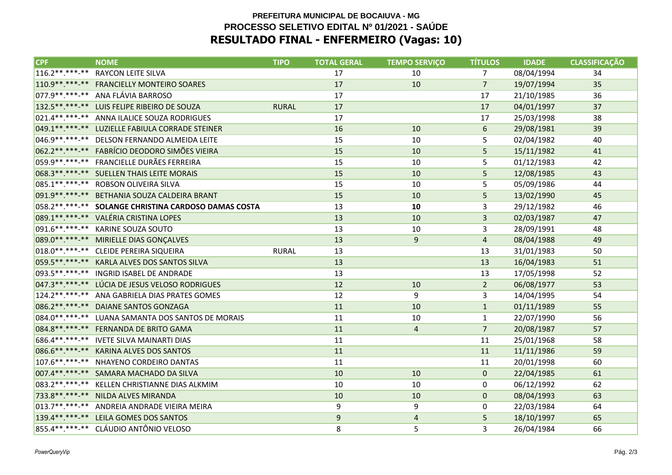### **PREFEITURA MUNICIPAL DE BOCAIUVA - MG PROCESSO SELETIVO EDITAL Nº 01/2021 - SAÚDERESULTADO FINAL - ENFERMEIRO (Vagas: 10)**

| <b>CPF</b>       | <b>NOME</b>                                      | <b>TIPO</b>  | <b>TOTAL GERAL</b> | <b>TEMPO SERVIÇO</b> | <b>TÍTULOS</b> | <b>IDADE</b> | <b>CLASSIFICAÇÃO</b> |
|------------------|--------------------------------------------------|--------------|--------------------|----------------------|----------------|--------------|----------------------|
| $116.2*********$ | RAYCON LEITE SILVA                               |              | 17                 | 10                   | $\overline{7}$ | 08/04/1994   | 34                   |
| 110.9 ** *** -** | <b>FRANCIELLY MONTEIRO SOARES</b>                |              | 17                 | 10                   | $\overline{7}$ | 19/07/1994   | 35                   |
|                  | 077.9**.***-** ANA FLÁVIA BARROSO                |              | 17                 |                      | 17             | 21/10/1985   | 36                   |
|                  | 132.5 **. *** -** LUIS FELIPE RIBEIRO DE SOUZA   | <b>RURAL</b> | 17                 |                      | 17             | 04/01/1997   | 37                   |
|                  | 021.4**.***-** ANNA ILALICE SOUZA RODRIGUES      |              | 17                 |                      | 17             | 25/03/1998   | 38                   |
| 049.1 ** *** **  | LUZIELLE FABIULA CORRADE STEINER                 |              | 16                 | 10                   | 6              | 29/08/1981   | 39                   |
| 046.9 ** *** **  | DELSON FERNANDO ALMEIDA LEITE                    |              | 15                 | 10                   | 5              | 02/04/1982   | 40                   |
|                  | 062.2 ** *** ** FABRÍCIO DEODORO SIMÕES VIEIRA   |              | 15                 | 10                   | 5              | 15/11/1982   | 41                   |
|                  | 059.9 **. ***-** FRANCIELLE DURÃES FERREIRA      |              | 15                 | 10                   | 5              | 01/12/1983   | 42                   |
|                  | 068.3 ** .*** -** SUELLEN THAIS LEITE MORAIS     |              | 15                 | 10                   | 5              | 12/08/1985   | 43                   |
| 085.1 ** *** **  | ROBSON OLIVEIRA SILVA                            |              | 15                 | 10                   | 5              | 05/09/1986   | 44                   |
| 091.9 ** *** **  | BETHANIA SOUZA CALDEIRA BRANT                    |              | 15                 | 10                   | 5              | 13/02/1990   | 45                   |
| 058.2 ** *** **  | SOLANGE CHRISTINA CARDOSO DAMAS COSTA            |              | 13                 | 10                   | 3              | 29/12/1982   | 46                   |
|                  | 089.1**.***-** VALÉRIA CRISTINA LOPES            |              | 13                 | 10                   | 3              | 02/03/1987   | 47                   |
|                  | 091.6**.***-** KARINE SOUZA SOUTO                |              | 13                 | 10                   | 3              | 28/09/1991   | 48                   |
|                  | 089.0** *** ** MIRIELLE DIAS GONÇALVES           |              | 13                 | 9                    | $\overline{4}$ | 08/04/1988   | 49                   |
| $018.0*********$ | CLEIDE PEREIRA SIQUEIRA                          | <b>RURAL</b> | 13                 |                      | 13             | 31/01/1983   | 50                   |
| 059.5 ** *** **  | KARLA ALVES DOS SANTOS SILVA                     |              | 13                 |                      | 13             | 16/04/1983   | 51                   |
| 093.5 ** *** **  | <b>INGRID ISABEL DE ANDRADE</b>                  |              | 13                 |                      | 13             | 17/05/1998   | 52                   |
|                  | 047.3 ** .** * * LÚCIA DE JESUS VELOSO RODRIGUES |              | 12                 | 10                   | $\overline{2}$ | 06/08/1977   | 53                   |
|                  | 124.2**.***-** ANA GABRIELA DIAS PRATES GOMES    |              | 12                 | 9                    | 3              | 14/04/1995   | 54                   |
| 086.2 ** *** **  | <b>DAIANE SANTOS GONZAGA</b>                     |              | 11                 | 10                   | $\mathbf{1}$   | 01/11/1989   | 55                   |
| 084.0 ** *** **  | LUANA SAMANTA DOS SANTOS DE MORAIS               |              | 11                 | 10                   | $\mathbf{1}$   | 22/07/1990   | 56                   |
|                  | 084.8 ** .*** -** FERNANDA DE BRITO GAMA         |              | 11                 | $\overline{4}$       | $\overline{7}$ | 20/08/1987   | 57                   |
|                  | 686.4 **. ***- ** IVETE SILVA MAINARTI DIAS      |              | 11                 |                      | 11             | 25/01/1968   | 58                   |
|                  | 086.6**.***.** KARINA ALVES DOS SANTOS           |              | 11                 |                      | 11             | 11/11/1986   | 59                   |
| 107.6 ** *** **  | NHAYENO CORDEIRO DANTAS                          |              | 11                 |                      | 11             | 20/01/1998   | 60                   |
| 007.4**.***.**   | SAMARA MACHADO DA SILVA                          |              | 10                 | 10                   | $\mathbf{0}$   | 22/04/1985   | 61                   |
| 083.2 ** *** **  | KELLEN CHRISTIANNE DIAS ALKMIM                   |              | 10                 | 10                   | 0              | 06/12/1992   | 62                   |
| 733.8 ** *** **  | NILDA ALVES MIRANDA                              |              | 10                 | 10                   | $\mathbf{0}$   | 08/04/1993   | 63                   |
|                  | 013.7**.***-** ANDREIA ANDRADE VIEIRA MEIRA      |              | 9                  | 9                    | $\pmb{0}$      | 22/03/1984   | 64                   |
| 139.4********    | LEILA GOMES DOS SANTOS                           |              | 9                  | $\overline{4}$       | 5              | 18/10/1997   | 65                   |
|                  | 855.4 ** *** ** CLÁUDIO ANTÔNIO VELOSO           |              | 8                  | 5                    | 3              | 26/04/1984   | 66                   |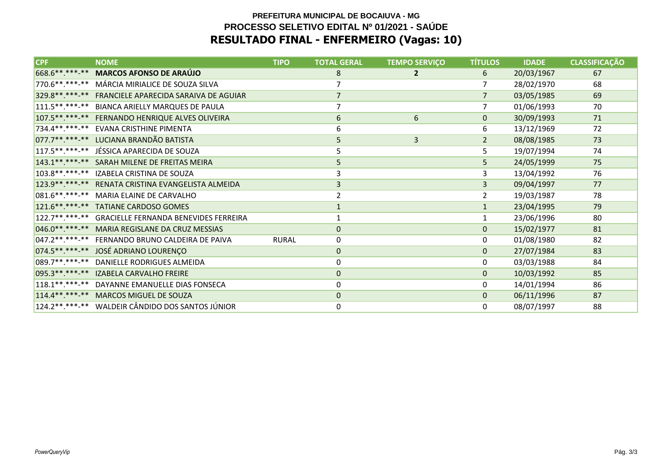### **PREFEITURA MUNICIPAL DE BOCAIUVA - MG PROCESSO SELETIVO EDITAL Nº 01/2021 - SAÚDERESULTADO FINAL - ENFERMEIRO (Vagas: 10)**

| <b>CPF</b>        | <b>NOME</b>                                  | <b>TIPO</b>  | <b>TOTAL GERAL</b> | <b>TEMPO SERVIÇO</b> | <b>TÍTULOS</b> | <b>IDADE</b> | <b>CLASSIFICAÇÃO</b> |
|-------------------|----------------------------------------------|--------------|--------------------|----------------------|----------------|--------------|----------------------|
| 668.6**.***.**    | <b>MARCOS AFONSO DE ARAÚJO</b>               |              | 8                  | $\mathbf{2}$         | 6              | 20/03/1967   | 67                   |
| 770.6 **. ***- ** | MÁRCIA MIRIALICE DE SOUZA SILVA              |              |                    |                      | 7              | 28/02/1970   | 68                   |
| 329.8 ** *** **   | FRANCIELE APARECIDA SARAIVA DE AGUIAR        |              | $\overline{7}$     |                      | $\overline{7}$ | 03/05/1985   | 69                   |
| $111.5******$     | BIANCA ARIELLY MARQUES DE PAULA              |              | $\overline{7}$     |                      | $\overline{7}$ | 01/06/1993   | 70                   |
| 107.5**.***.**    | FERNANDO HENRIQUE ALVES OLIVEIRA             |              | 6                  | 6                    | $\mathbf{0}$   | 30/09/1993   | 71                   |
| 734.4**.***.**    | EVANA CRISTHINE PIMENTA                      |              | 6                  |                      | 6              | 13/12/1969   | 72                   |
| 077.7**.***.**    | LUCIANA BRANDÃO BATISTA                      |              | 5                  | $\overline{3}$       | $\overline{2}$ | 08/08/1985   | 73                   |
| $117.5******$     | JÉSSICA APARECIDA DE SOUZA                   |              | 5                  |                      | 5              | 19/07/1994   | 74                   |
| 143.1 ** *** **   | SARAH MILENE DE FREITAS MEIRA                |              | 5                  |                      | 5              | 24/05/1999   | 75                   |
| 103.8 ** *** **   | IZABELA CRISTINA DE SOUZA                    |              | 3                  |                      | 3              | 13/04/1992   | 76                   |
| 123.9 ** *** **   | RENATA CRISTINA EVANGELISTA ALMEIDA          |              | 3                  |                      | 3              | 09/04/1997   | 77                   |
| 081.6 ** *** **   | MARIA ELAINE DE CARVALHO                     |              | $\mathcal{P}$      |                      | $\overline{2}$ | 19/03/1987   | 78                   |
| 121.6** *** **    | <b>TATIANE CARDOSO GOMES</b>                 |              |                    |                      | $\mathbf{1}$   | 23/04/1995   | 79                   |
| $122.7*********$  | <b>GRACIELLE FERNANDA BENEVIDES FERREIRA</b> |              |                    |                      | $\mathbf{1}$   | 23/06/1996   | 80                   |
| 046.0 ** *** **   | MARIA REGISLANE DA CRUZ MESSIAS              |              | $\mathbf{0}$       |                      | $\mathbf{0}$   | 15/02/1977   | 81                   |
| $047.2*********$  | FERNANDO BRUNO CALDEIRA DE PAIVA             | <b>RURAL</b> | 0                  |                      | 0              | 01/08/1980   | 82                   |
| 074.5 ** *** **   | JOSÉ ADRIANO LOURENÇO                        |              | $\mathbf 0$        |                      | $\mathbf{0}$   | 27/07/1984   | 83                   |
| 089.7**.***.**    | DANIELLE RODRIGUES ALMEIDA                   |              | 0                  |                      | 0              | 03/03/1988   | 84                   |
| 095.3 ** *** **   | <b>IZABELA CARVALHO FREIRE</b>               |              | $\mathbf{0}$       |                      | $\Omega$       | 10/03/1992   | 85                   |
| $118.1******$     | DAYANNE EMANUELLE DIAS FONSECA               |              | 0                  |                      | 0              | 14/01/1994   | 86                   |
|                   | 114.4**.***.** MARCOS MIGUEL DE SOUZA        |              | $\mathbf{0}$       |                      | $\mathbf{0}$   | 06/11/1996   | 87                   |
| $124.2*********$  | WALDEIR CÂNDIDO DOS SANTOS JÚNIOR            |              | 0                  |                      | 0              | 08/07/1997   | 88                   |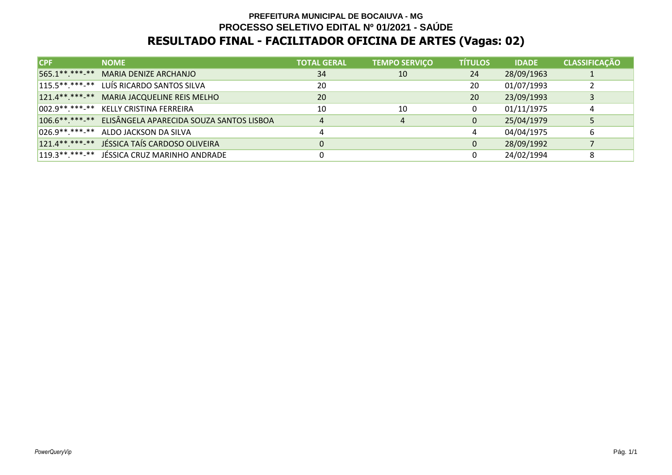# **PREFEITURA MUNICIPAL DE BOCAIUVA - MG PROCESSO SELETIVO EDITAL Nº 01/2021 - SAÚDERESULTADO FINAL - FACILITADOR OFICINA DE ARTES (Vagas: 02)**

| ICPF: | <b>NOME</b>                                             | <b>TOTAL GERAL</b> | <b>TEMPO SERVIÇO</b> | <b>TÍTULOS</b> | <b>IDADE</b> | <b>CLASSIFICAÇÃO</b> |
|-------|---------------------------------------------------------|--------------------|----------------------|----------------|--------------|----------------------|
|       | 565.1**.***-** MARIA DENIZE ARCHANJO                    | 34                 | 10                   | 24             | 28/09/1963   |                      |
|       | 115.5**.***-** LUÍS RICARDO SANTOS SILVA                | 20                 |                      | 20             | 01/07/1993   |                      |
|       | 121.4**.***-** MARIA JACQUELINE REIS MELHO              | 20                 |                      | 20             | 23/09/1993   |                      |
|       | 002.9 **. *** - ** KELLY CRISTINA FERREIRA              | 10                 | 10                   | $\mathbf 0$    | 01/11/1975   | 4                    |
|       | 106.6**.***-** ELISÂNGELA APARECIDA SOUZA SANTOS LISBOA | 4                  | 4                    | $\mathbf{0}$   | 25/04/1979   |                      |
|       | 026.9**.***-** ALDO JACKSON DA SILVA                    | 4                  |                      | 4              | 04/04/1975   | 6                    |
|       | 121.4**.***-** JÉSSICA TAÍS CARDOSO OLIVEIRA            |                    |                      | $\mathbf{0}$   | 28/09/1992   |                      |
|       | 119.3 **. ***-** JÉSSICA CRUZ MARINHO ANDRADE           |                    |                      |                | 24/02/1994   | 8                    |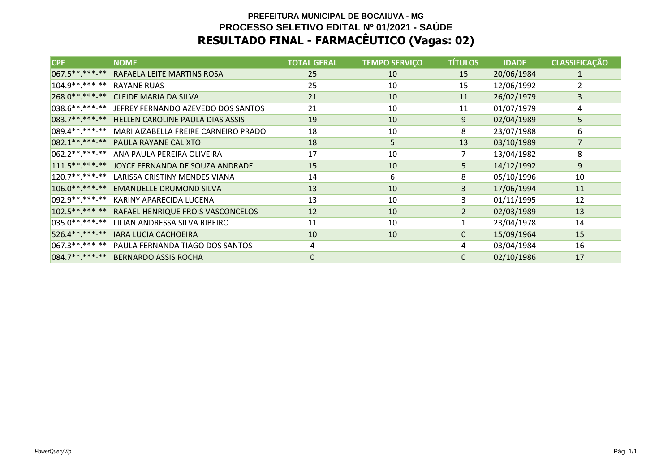# **PREFEITURA MUNICIPAL DE BOCAIUVA - MG PROCESSO SELETIVO EDITAL Nº 01/2021 - SAÚDERESULTADO FINAL - FARMACÊUTICO (Vagas: 02)**

| <b>CPF</b>                    | <b>NOME</b>                                       | <b>TOTAL GERAL</b> | <b>TEMPO SERVIÇO</b> | <b>TÍTULOS</b> | <b>IDADE</b> | <b>CLASSIFICAÇÃO</b> |
|-------------------------------|---------------------------------------------------|--------------------|----------------------|----------------|--------------|----------------------|
|                               | 067.5**.***-** RAFAELA LEITE MARTINS ROSA         | 25                 | 10                   | 15             | 20/06/1984   | 1                    |
| 104.9 **. ***- ** RAYANE RUAS |                                                   | 25                 | 10                   | 15             | 12/06/1992   | 2                    |
| 268.0 **. ***- **             | <b>CLEIDE MARIA DA SILVA</b>                      | 21                 | 10                   | 11             | 26/02/1979   | 3                    |
|                               | 038.6**.***-** JEFREY FERNANDO AZEVEDO DOS SANTOS | 21                 | 10                   | 11             | 01/07/1979   | 4                    |
|                               | 083.7**.***-** HELLEN CAROLINE PAULA DIAS ASSIS   | 19                 | 10                   | 9              | 02/04/1989   | 5                    |
| 089.4**.***-**                | MARI AIZABELLA FREIRE CARNEIRO PRADO              | 18                 | 10                   | 8              | 23/07/1988   | 6                    |
| 082.1 ** *** -**              | PAULA RAYANE CALIXTO                              | 18                 | 5                    | 13             | 03/10/1989   | $\overline{7}$       |
| 062.2 ** *** -**              | ANA PAULA PEREIRA OLIVEIRA                        | 17                 | 10                   | $\overline{7}$ | 13/04/1982   | 8                    |
|                               | 111.5**.***-** JOYCE FERNANDA DE SOUZA ANDRADE    | 15                 | 10                   | 5              | 14/12/1992   | 9                    |
| $120.7*********$              | LARISSA CRISTINY MENDES VIANA                     | 14                 | 6                    | 8              | 05/10/1996   | 10                   |
| $106.0*********$              | <b>EMANUELLE DRUMOND SILVA</b>                    | 13                 | 10                   | 3              | 17/06/1994   | 11                   |
| 092.9**.***-**                | KARINY APARECIDA LUCENA                           | 13                 | 10                   | 3              | 01/11/1995   | 12                   |
| $102.5******-*$               | RAFAEL HENRIQUE FROIS VASCONCELOS                 | 12                 | 10                   | $\overline{2}$ | 02/03/1989   | 13                   |
| 035.0 **. ***- **             | LILIAN ANDRESSA SILVA RIBEIRO                     | 11                 | 10                   |                | 23/04/1978   | 14                   |
| 526.4**.***-**                | <b>IARA LUCIA CACHOEIRA</b>                       | 10                 | 10                   | $\mathbf{0}$   | 15/09/1964   | 15                   |
| 067.3 **. ***-**              | PAULA FERNANDA TIAGO DOS SANTOS                   | 4                  |                      | 4              | 03/04/1984   | 16                   |
| 084.7**.***-**                | <b>BERNARDO ASSIS ROCHA</b>                       | $\mathbf 0$        |                      | 0              | 02/10/1986   | 17                   |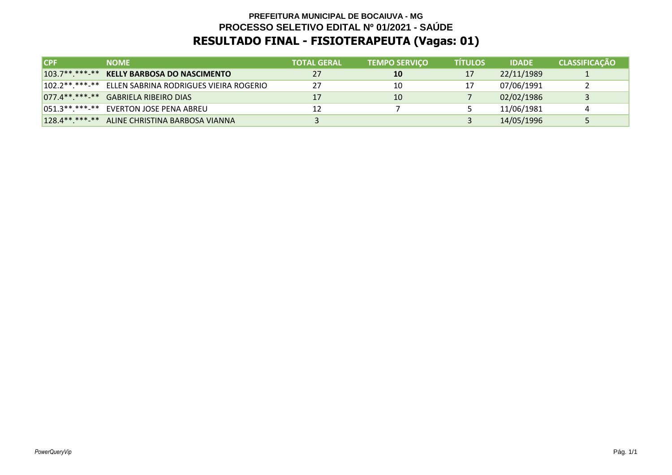# **PREFEITURA MUNICIPAL DE BOCAIUVA - MG PROCESSO SELETIVO EDITAL Nº 01/2021 - SAÚDERESULTADO FINAL - FISIOTERAPEUTA (Vagas: 01)**

| <b>ICPF</b>   | <b>NOME</b>                                              | <b>TOTAL GERAL</b> | <b>TEMPO SERVIÇO</b> | <b>TÍTULOS</b> | <b>IDADE</b> | <b>CLASSIFICAÇÃO</b> |
|---------------|----------------------------------------------------------|--------------------|----------------------|----------------|--------------|----------------------|
|               | 103.7**.***-** KELLY BARBOSA DO NASCIMENTO               | 27                 | <b>10</b>            | 17             | 22/11/1989   |                      |
|               | 102.2 ** .*** -** ELLEN SABRINA RODRIGUES VIEIRA ROGERIO |                    | 10                   | 17             | 07/06/1991   |                      |
|               | 077.4** ***-** GABRIELA RIBEIRO DIAS                     |                    | 10                   |                | 02/02/1986   |                      |
|               | 051.3**.***-** EVERTON JOSE PENA ABREU                   |                    |                      |                | 11/06/1981   |                      |
| $128.4******$ | ALINE CHRISTINA BARBOSA VIANNA                           |                    |                      |                | 14/05/1996   |                      |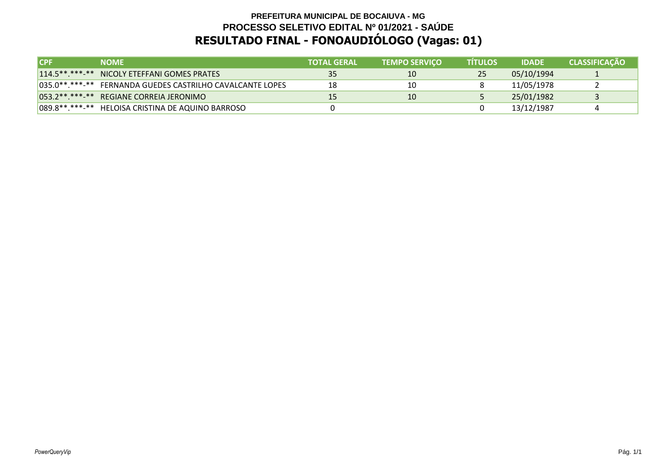### **PREFEITURA MUNICIPAL DE BOCAIUVA - MG PROCESSO SELETIVO EDITAL Nº 01/2021 - SAÚDERESULTADO FINAL - FONOAUDIÓLOGO (Vagas: 01)**

| <b>ICPF</b> | <b>NOME</b>                                               | <b>TOTAL GERAL</b> | <b>TEMPO SERVICO</b> | <b>TÍTULOS</b> | <b>IDADE</b> | <b>CLASSIFICAÇÃO</b> |
|-------------|-----------------------------------------------------------|--------------------|----------------------|----------------|--------------|----------------------|
|             | 114.5**.***-** NICOLY ETEFFANI GOMES PRATES               | -35                | 10                   | 25             | 05/10/1994   |                      |
|             | 035.0**.***-** FERNANDA GUEDES CASTRILHO CAVALCANTE LOPES | 18                 | 10                   |                | 11/05/1978   |                      |
|             | 053.2**.***-** REGIANE CORREIA JERONIMO                   |                    | 10                   |                | 25/01/1982   |                      |
|             | 089.8 ** .*** -** HELOISA CRISTINA DE AQUINO BARROSO      |                    |                      |                | 13/12/1987   |                      |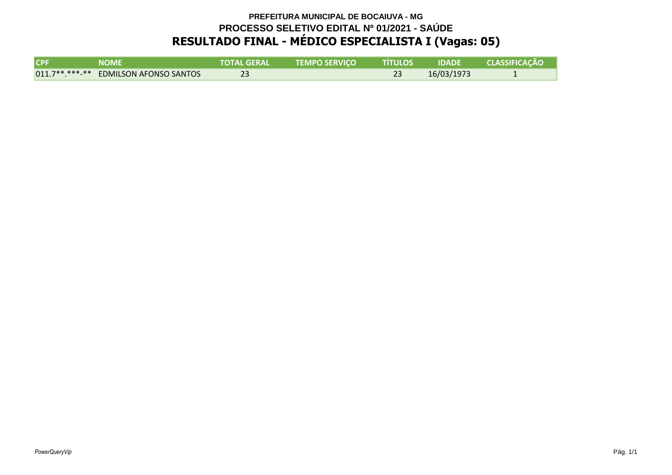# **PREFEITURA MUNICIPAL DE BOCAIUVA - MG PROCESSO SELETIVO EDITAL Nº 01/2021 - SAÚDERESULTADO FINAL - MÉDICO ESPECIALISTA I (Vagas: 05)**

| CPF | NOME                                  | <b>TOTAL GERAL</b> ' | <b>TEMPO SERVICO</b> | <b>TITULOS</b> | <b>IDADE</b> | <b>CLASSIFICAÇÃO</b> |
|-----|---------------------------------------|----------------------|----------------------|----------------|--------------|----------------------|
|     | 011.7**.***-** EDMILSON AFONSO SANTOS |                      |                      |                | 16/03/1973   |                      |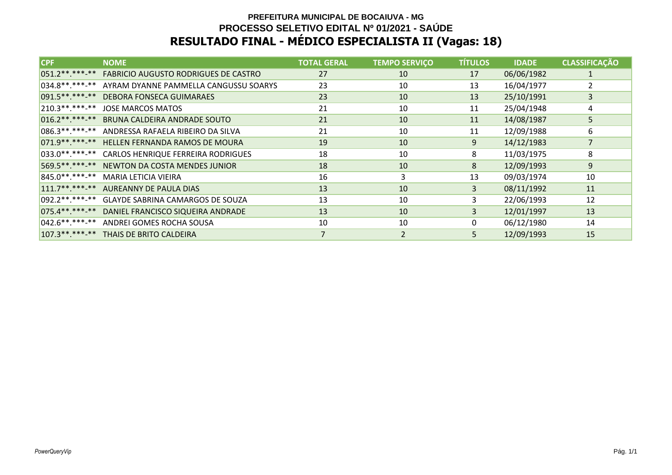# **PREFEITURA MUNICIPAL DE BOCAIUVA - MG PROCESSO SELETIVO EDITAL Nº 01/2021 - SAÚDERESULTADO FINAL - MÉDICO ESPECIALISTA II (Vagas: 18)**

| <b>CPF</b>       | <b>NOME</b>                                 | <b>TOTAL GERAL</b> | <b>TEMPO SERVIÇO</b> | <b>TÍTULOS</b> | <b>IDADE</b> | <b>CLASSIFICAÇÃO</b> |
|------------------|---------------------------------------------|--------------------|----------------------|----------------|--------------|----------------------|
| 051.2 ** *** -** | <b>FABRICIO AUGUSTO RODRIGUES DE CASTRO</b> | 27                 | 10                   | 17             | 06/06/1982   |                      |
| 034.8**.***-**   | AYRAM DYANNE PAMMELLA CANGUSSU SOARYS       | 23                 | 10                   | 13             | 16/04/1977   | 2                    |
| 091.5 ** ***-**  | <b>DEBORA FONSECA GUIMARAES</b>             | 23                 | 10                   | 13             | 25/10/1991   | 3                    |
| 210.3 ** *** -** | <b>JOSE MARCOS MATOS</b>                    | 21                 | 10                   | 11             | 25/04/1948   | $\overline{4}$       |
| $016.2*********$ | BRUNA CALDEIRA ANDRADE SOUTO                | 21                 | 10                   | 11             | 14/08/1987   | 5                    |
| 086.3 ** *** -** | ANDRESSA RAFAELA RIBEIRO DA SILVA           | 21                 | 10                   | 11             | 12/09/1988   | 6                    |
| 071.9 ** ***-**  | HELLEN FERNANDA RAMOS DE MOURA              | 19                 | 10                   | 9              | 14/12/1983   | $\overline{7}$       |
| 033.0 ** *** -** | CARLOS HENRIQUE FERREIRA RODRIGUES          | 18                 | 10                   | 8              | 11/03/1975   | 8                    |
| 569.5 ** ***-**  | NEWTON DA COSTA MENDES JUNIOR               | 18                 | 10                   | 8              | 12/09/1993   | 9                    |
| 845.0 ** *** -** | MARIA LETICIA VIEIRA                        | 16                 | 3                    | 13             | 09/03/1974   | 10                   |
| $111.7******$    | AUREANNY DE PAULA DIAS                      | 13                 | 10                   | 3 <sup>1</sup> | 08/11/1992   | 11                   |
| 092.2 ** ***-**  | GLAYDE SABRINA CAMARGOS DE SOUZA            | 13                 | 10                   | 3              | 22/06/1993   | 12                   |
| 075.4**.***-**   | DANIEL FRANCISCO SIQUEIRA ANDRADE           | 13                 | 10                   | $\overline{3}$ | 12/01/1997   | 13                   |
| $042.6*********$ | ANDREI GOMES ROCHA SOUSA                    | 10                 | 10                   | $\Omega$       | 06/12/1980   | 14                   |
| $107.3*********$ | THAIS DE BRITO CALDEIRA                     |                    | $\overline{2}$       | 5 <sup>1</sup> | 12/09/1993   | 15                   |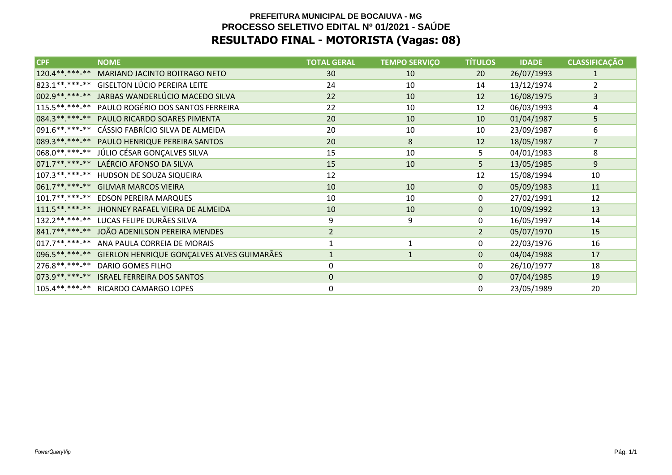### **PREFEITURA MUNICIPAL DE BOCAIUVA - MG PROCESSO SELETIVO EDITAL Nº 01/2021 - SAÚDERESULTADO FINAL - MOTORISTA (Vagas: 08)**

| <b>CPF</b>        | <b>NOME</b>                                       | <b>TOTAL GERAL</b> | <b>TEMPO SERVIÇO</b> | <b>TÍTULOS</b> | <b>IDADE</b> | <b>CLASSIFICAÇÃO</b> |
|-------------------|---------------------------------------------------|--------------------|----------------------|----------------|--------------|----------------------|
| 120.4** *** -**   | MARIANO JACINTO BOITRAGO NETO                     | 30                 | 10                   | 20             | 26/07/1993   | $\mathbf{1}$         |
| 823.1**.***-**    | <b>GISELTON LÚCIO PEREIRA LEITE</b>               | 24                 | 10                   | 14             | 13/12/1974   | $\overline{2}$       |
|                   | 002.9 **. *** -** JARBAS WANDERLÚCIO MACEDO SILVA | 22                 | 10                   | 12             | 16/08/1975   | $\overline{3}$       |
| $115.5******$     | PAULO ROGÉRIO DOS SANTOS FERREIRA                 | 22                 | 10                   | 12             | 06/03/1993   | 4                    |
| 084.3 ** *** -**  | PAULO RICARDO SOARES PIMENTA                      | 20                 | 10                   | 10             | 01/04/1987   | 5                    |
| $ 091.6*********$ | CÁSSIO FABRÍCIO SILVA DE ALMEIDA                  | 20                 | 10                   | 10             | 23/09/1987   | 6                    |
| 089.3** *** -**   | PAULO HENRIQUE PEREIRA SANTOS                     | 20                 | 8                    | 12             | 18/05/1987   | $\overline{7}$       |
| 068.0**.***-**    | JÚLIO CÉSAR GONÇALVES SILVA                       | 15                 | 10                   | 5              | 04/01/1983   | 8                    |
| $071.7******$     | LAÉRCIO AFONSO DA SILVA                           | 15                 | 10                   | 5              | 13/05/1985   | 9                    |
| 107.3 **. ***-**  | HUDSON DE SOUZA SIQUEIRA                          | 12                 |                      | 12             | 15/08/1994   | 10                   |
| $061.7******$     | <b>GILMAR MARCOS VIEIRA</b>                       | 10                 | 10                   | $\mathbf{0}$   | 05/09/1983   | 11                   |
| $101.7*********$  | <b>EDSON PEREIRA MARQUES</b>                      | 10                 | 10                   | $\mathbf 0$    | 27/02/1991   | 12                   |
| $111.5******$     | JHONNEY RAFAEL VIEIRA DE ALMEIDA                  | 10                 | 10                   | $\mathbf{0}$   | 10/09/1992   | 13                   |
| 132.2 ** *** -**  | LUCAS FELIPE DURÃES SILVA                         | 9                  | 9                    | 0              | 16/05/1997   | 14                   |
| 841.7**.***-**    | JOÃO ADENILSON PEREIRA MENDES                     | $\overline{2}$     |                      | $\overline{2}$ | 05/07/1970   | 15                   |
| $ 017.7******$    | ANA PAULA CORREIA DE MORAIS                       | $\mathbf{1}$       | 1                    | $\mathbf 0$    | 22/03/1976   | 16                   |
| 096.5**.***-**    | GIERLON HENRIQUE GONÇALVES ALVES GUIMARÃES        | $\mathbf{1}$       | $\mathbf{1}$         | $\mathbf{0}$   | 04/04/1988   | 17                   |
| 276.8 **. ***-**  | DARIO GOMES FILHO                                 | 0                  |                      | 0              | 26/10/1977   | 18                   |
| 073.9 ** ***-**   | <b>ISRAEL FERREIRA DOS SANTOS</b>                 | $\Omega$           |                      | $\mathbf{0}$   | 07/04/1985   | 19                   |
| $105.4*********$  | RICARDO CAMARGO LOPES                             | 0                  |                      | 0              | 23/05/1989   | 20                   |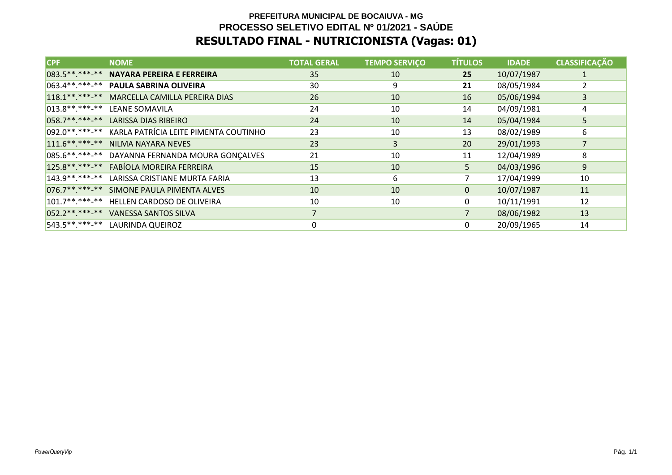# **PREFEITURA MUNICIPAL DE BOCAIUVA - MG PROCESSO SELETIVO EDITAL Nº 01/2021 - SAÚDERESULTADO FINAL - NUTRICIONISTA (Vagas: 01)**

| <b>CPF</b>       | <b>NOME</b>                                              | <b>TOTAL GERAL</b> | <b>TEMPO SERVIÇO</b> | <b>TÍTULOS</b> | <b>IDADE</b> | <b>CLASSIFICAÇÃO</b> |
|------------------|----------------------------------------------------------|--------------------|----------------------|----------------|--------------|----------------------|
| 083.5 ** ***-**  | <b>NAYARA PEREIRA E FERREIRA</b>                         | 35                 | 10                   | 25             | 10/07/1987   |                      |
|                  | 063.4**.***-** PAULA SABRINA OLIVEIRA                    | 30                 | 9                    | 21             | 08/05/1984   |                      |
| 118.1** ***-**   | MARCELLA CAMILLA PEREIRA DIAS                            | 26                 | 10                   | 16             | 05/06/1994   | 3                    |
|                  | 013.8**.***-** LEANE SOMAVILA                            | 24                 | 10                   | 14             | 04/09/1981   | 4                    |
| $ 058.7******$   | <b>LARISSA DIAS RIBEIRO</b>                              | 24                 | 10                   | 14             | 05/04/1984   | 5                    |
|                  | 092.0 **. *** - ** KARLA PATRÍCIA LEITE PIMENTA COUTINHO | 23                 | 10                   | 13             | 08/02/1989   | 6                    |
| $111.6******$    | NILMA NAYARA NEVES                                       | 23                 | 3                    | 20             | 29/01/1993   |                      |
| $085.6*********$ | DAYANNA FERNANDA MOURA GONÇALVES                         | 21                 | 10                   | 11             | 12/04/1989   | 8                    |
| $125.8*********$ | FABÍOLA MOREIRA FERREIRA                                 | 15                 | 10                   | 5              | 04/03/1996   | 9                    |
| $143.9******$    | LARISSA CRISTIANE MURTA FARIA                            | 13                 | 6                    |                | 17/04/1999   | 10                   |
|                  | 076.7**.***-** SIMONE PAULA PIMENTA ALVES                | 10                 | 10                   | 0              | 10/07/1987   | 11                   |
| $101.7******$    | HELLEN CARDOSO DE OLIVEIRA                               | 10                 | 10                   | 0              | 10/11/1991   | 12                   |
|                  | 052.2** ***-** VANESSA SANTOS SILVA                      | 7                  |                      | $\overline{7}$ | 08/06/1982   | 13                   |
|                  | 543.5**.***-** LAURINDA QUEIROZ                          | 0                  |                      | 0              | 20/09/1965   | 14                   |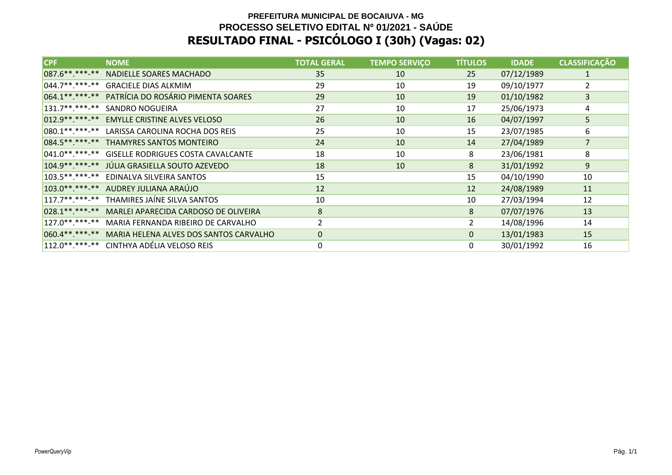# **PREFEITURA MUNICIPAL DE BOCAIUVA - MG PROCESSO SELETIVO EDITAL Nº 01/2021 - SAÚDERESULTADO FINAL - PSICÓLOGO I (30h) (Vagas: 02)**

| <b>CPF</b>       | <b>NOME</b>                                           | <b>TOTAL GERAL</b> | <b>TEMPO SERVIÇO</b> | <b>TÍTULOS</b> | <b>IDADE</b> | <b>CLASSIFICAÇÃO</b> |
|------------------|-------------------------------------------------------|--------------------|----------------------|----------------|--------------|----------------------|
| 087.6 ** *** -** | NADIELLE SOARES MACHADO                               | 35                 | 10                   | 25             | 07/12/1989   | 1                    |
|                  | 044.7**.***-** GRACIELE DIAS ALKMIM                   | 29                 | 10                   | 19             | 09/10/1977   | 2                    |
|                  | 064.1**.***-** PATRÍCIA DO ROSÁRIO PIMENTA SOARES     | 29                 | 10                   | 19             | 01/10/1982   | 3                    |
| $131.7******$    | SANDRO NOGUEIRA                                       | 27                 | 10                   | 17             | 25/06/1973   | 4                    |
| 012.9 ** ***-**  | <b>EMYLLE CRISTINE ALVES VELOSO</b>                   | 26                 | 10                   | 16             | 04/07/1997   | 5                    |
|                  | 080.1**.***-** LARISSA CAROLINA ROCHA DOS REIS        | 25                 | 10                   | 15             | 23/07/1985   | 6                    |
|                  | 084.5** ***-** THAMYRES SANTOS MONTEIRO               | 24                 | 10                   | 14             | 27/04/1989   | $\overline{7}$       |
| $041.0******$    | <b>GISELLE RODRIGUES COSTA CAVALCANTE</b>             | 18                 | 10                   | 8              | 23/06/1981   | 8                    |
|                  | 104.9 ** ***- ** JÚLIA GRASIELLA SOUTO AZEVEDO        | 18                 | 10                   | 8              | 31/01/1992   | 9                    |
| $103.5*********$ | EDINALVA SILVEIRA SANTOS                              | 15                 |                      | 15             | 04/10/1990   | 10                   |
|                  | 103.0**.***-** AUDREY JULIANA ARAÚJO                  | 12                 |                      | 12             | 24/08/1989   | 11                   |
|                  | 117.7**.***-** THAMIRES JAÍNE SILVA SANTOS            | 10                 |                      | 10             | 27/03/1994   | 12                   |
| 028.1 ** *** -** | MARLEI APARECIDA CARDOSO DE OLIVEIRA                  | 8                  |                      | 8              | 07/07/1976   | 13                   |
|                  | 127.0**.***-** MARIA FERNANDA RIBEIRO DE CARVALHO     | $\overline{2}$     |                      | $\overline{2}$ | 14/08/1996   | 14                   |
|                  | 060.4**.***-** MARIA HELENA ALVES DOS SANTOS CARVALHO | $\mathbf{0}$       |                      | $\mathbf{0}$   | 13/01/1983   | 15                   |
|                  | 112.0**.***-** CINTHYA ADÉLIA VELOSO REIS             | 0                  |                      | 0              | 30/01/1992   | 16                   |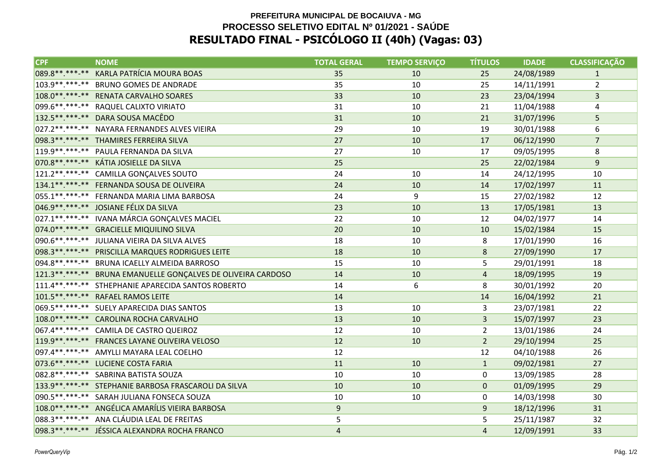### **PREFEITURA MUNICIPAL DE BOCAIUVA - MG PROCESSO SELETIVO EDITAL Nº 01/2021 - SAÚDERESULTADO FINAL - PSICÓLOGO II (40h) (Vagas: 03)**

| <b>CPF</b>       | <b>NOME</b>                                                  | <b>TOTAL GERAL</b> | <b>TEMPO SERVIÇO</b> | <b>TÍTULOS</b> | <b>IDADE</b> | <b>CLASSIFICAÇÃO</b> |
|------------------|--------------------------------------------------------------|--------------------|----------------------|----------------|--------------|----------------------|
| 089.8 ** *** -** | KARLA PATRÍCIA MOURA BOAS                                    | 35                 | 10                   | 25             | 24/08/1989   | $\mathbf{1}$         |
| 103.9 ** *** **  | <b>BRUNO GOMES DE ANDRADE</b>                                | 35                 | 10                   | 25             | 14/11/1991   | $\overline{2}$       |
|                  | 108.0**.***-** RENATA CARVALHO SOARES                        | 33                 | 10                   | 23             | 23/04/1994   | $\mathbf{3}$         |
|                  | 099.6 **. ***-** RAQUEL CALIXTO VIRIATO                      | 31                 | 10                   | 21             | 11/04/1988   | 4                    |
|                  | 132.5**.***-** DARA SOUSA MACÊDO                             | 31                 | 10                   | 21             | 31/07/1996   | 5                    |
|                  | 027.2 **. ***-** NAYARA FERNANDES ALVES VIEIRA               | 29                 | 10                   | 19             | 30/01/1988   | 6                    |
|                  | 098.3 ** .*** -** THAMIRES FERREIRA SILVA                    | 27                 | 10                   | 17             | 06/12/1990   | $\overline{7}$       |
|                  | 119.9**.***-** PAULA FERNANDA DA SILVA                       | 27                 | 10                   | 17             | 09/05/1995   | 8                    |
|                  | 070.8**.***-** KÁTIA JOSIELLE DA SILVA                       | 25                 |                      | 25             | 22/02/1984   | 9                    |
|                  | 121.2**.***-** CAMILLA GONÇALVES SOUTO                       | 24                 | 10                   | 14             | 24/12/1995   | 10                   |
|                  | 134.1**.***-** FERNANDA SOUSA DE OLIVEIRA                    | 24                 | 10                   | 14             | 17/02/1997   | 11                   |
|                  | 055.1**.***-** FERNANDA MARIA LIMA BARBOSA                   | 24                 | 9                    | 15             | 27/02/1982   | 12                   |
|                  | 046.9**.***-** JOSIANE FÉLIX DA SILVA                        | 23                 | 10                   | 13             | 17/05/1981   | 13                   |
|                  | 027.1**.***-** IVANA MÁRCIA GONÇALVES MACIEL                 | 22                 | 10                   | 12             | 04/02/1977   | 14                   |
|                  | 074.0**.***-** GRACIELLE MIQUILINO SILVA                     | 20                 | 10                   | 10             | 15/02/1984   | 15                   |
|                  | 090.6**.***-** JULIANA VIEIRA DA SILVA ALVES                 | 18                 | 10                   | 8              | 17/01/1990   | 16                   |
|                  | 098.3 ** .*** -** PRISCILLA MARQUES RODRIGUES LEITE          | 18                 | 10                   | 8              | 27/09/1990   | 17                   |
|                  | 094.8**.***-** BRUNA ICAELLY ALMEIDA BARROSO                 | 15                 | 10                   | 5              | 29/01/1991   | 18                   |
|                  | 121.3**.***-** BRUNA EMANUELLE GONÇALVES DE OLIVEIRA CARDOSO | 14                 | 10                   | $\overline{4}$ | 18/09/1995   | 19                   |
|                  | 111.4**.***-** STHEPHANIE APARECIDA SANTOS ROBERTO           | 14                 | 6                    | 8              | 30/01/1992   | 20                   |
|                  | 101.5**.***-** RAFAEL RAMOS LEITE                            | 14                 |                      | 14             | 16/04/1992   | 21                   |
|                  | 069.5**.***-** SUELY APARECIDA DIAS SANTOS                   | 13                 | 10                   | 3              | 23/07/1981   | 22                   |
|                  | 108.0**.***-** CAROLINA ROCHA CARVALHO                       | 13                 | 10                   | 3              | 15/07/1997   | 23                   |
|                  | 067.4**.***-** CAMILA DE CASTRO QUEIROZ                      | 12                 | 10                   | $\overline{2}$ | 13/01/1986   | 24                   |
|                  | 119.9**.***-** FRANCES LAYANE OLIVEIRA VELOSO                | 12                 | 10                   | $2^{\circ}$    | 29/10/1994   | 25                   |
|                  | 097.4**.***-** AMYLLI MAYARA LEAL COELHO                     | 12                 |                      | 12             | 04/10/1988   | 26                   |
|                  | 073.6**.***-** LUCIENE COSTA FARIA                           | 11                 | 10                   | $\mathbf{1}$   | 09/02/1981   | 27                   |
|                  | 082.8**.***-** SABRINA BATISTA SOUZA                         | 10                 | 10                   | 0              | 13/09/1985   | 28                   |
|                  | 133.9**.***-** STEPHANIE BARBOSA FRASCAROLI DA SILVA         | 10                 | 10                   | $\mathbf 0$    | 01/09/1995   | 29                   |
|                  | 090.5**.***-** SARAH JULIANA FONSECA SOUZA                   | 10                 | 10                   | 0              | 14/03/1998   | 30                   |
|                  | 108.0**.***-** ANGÉLICA AMARÍLIS VIEIRA BARBOSA              | 9                  |                      | $9\,$          | 18/12/1996   | 31                   |
|                  | 088.3 **. ***-** ANA CLÁUDIA LEAL DE FREITAS                 | 5                  |                      | 5              | 25/11/1987   | 32                   |
|                  | 098.3**.***-** JÉSSICA ALEXANDRA ROCHA FRANCO                | $\overline{4}$     |                      | 4              | 12/09/1991   | 33                   |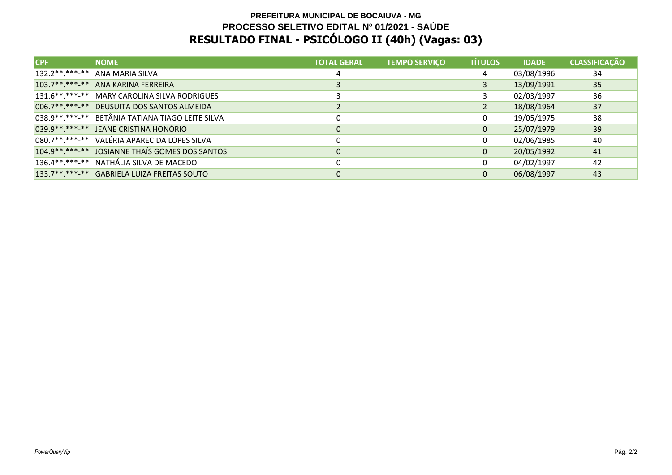### **PREFEITURA MUNICIPAL DE BOCAIUVA - MG PROCESSO SELETIVO EDITAL Nº 01/2021 - SAÚDERESULTADO FINAL - PSICÓLOGO II (40h) (Vagas: 03)**

| $\mathsf{ICPF}$ | <b>NOME</b>                                         | <b>TOTAL GERAL</b> | <b>TEMPO SERVIÇO</b> | <b>TÍTULOS</b> | <b>IDADE</b> | <b>CLASSIFICAÇÃO</b> |
|-----------------|-----------------------------------------------------|--------------------|----------------------|----------------|--------------|----------------------|
|                 | 132.2 **. ***- ** ANA MARIA SILVA                   |                    |                      | 4              | 03/08/1996   | 34                   |
|                 | 103.7** *** -** ANA KARINA FERREIRA                 |                    |                      | 3              | 13/09/1991   | 35                   |
|                 | 131.6**.***-** MARY CAROLINA SILVA RODRIGUES        |                    |                      |                | 02/03/1997   | 36                   |
|                 | 006.7**.***-** DEUSUITA DOS SANTOS ALMEIDA          |                    |                      |                | 18/08/1964   | 37                   |
|                 | 038.9 **. ***- ** BETÂNIA TATIANA TIAGO LEITE SILVA |                    |                      | 0              | 19/05/1975   | 38                   |
|                 | 039.9**.***-** JEANE CRISTINA HONÓRIO               | 0                  |                      | $\mathbf{0}$   | 25/07/1979   | 39                   |
|                 | 080.7**.***-** VALÉRIA APARECIDA LOPES SILVA        |                    |                      | 0              | 02/06/1985   | 40                   |
|                 | 104.9** ***-** JOSIANNE THAIS GOMES DOS SANTOS      | $\mathbf{0}$       |                      | $\mathbf{0}$   | 20/05/1992   | 41                   |
|                 | 136.4**.***-** NATHÁLIA SILVA DE MACEDO             | 0                  |                      | $\Omega$       | 04/02/1997   | 42                   |
|                 | 133.7**.***-** GABRIELA LUIZA FREITAS SOUTO         | $\Omega$           |                      | $\mathbf{0}$   | 06/08/1997   | 43                   |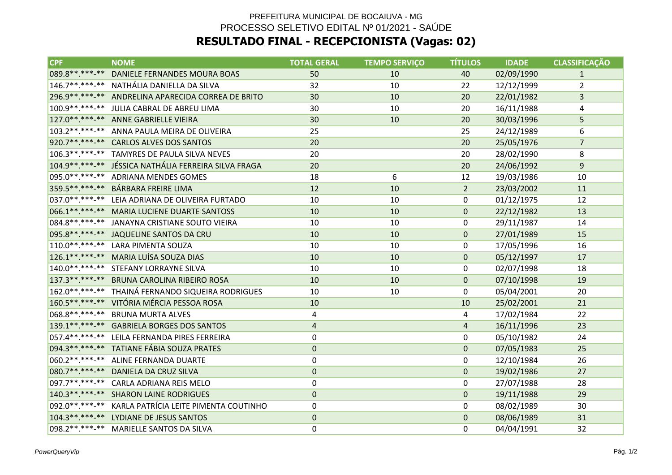# PREFEITURA MUNICIPAL DE BOCAIUVA - MG PROCESSO SELETIVO EDITAL Nº 01/2021 - SAÚDE**RESULTADO FINAL - RECEPCIONISTA (Vagas: 02)**

| CPF              | <b>NOME</b>                                            | <b>TOTAL GERAL</b> | <b>TEMPO SERVIÇO</b> | <b>TÍTULOS</b> | <b>IDADE</b> | <b>CLASSIFICAÇÃO</b> |
|------------------|--------------------------------------------------------|--------------------|----------------------|----------------|--------------|----------------------|
|                  | 089.8**.***-** DANIELE FERNANDES MOURA BOAS            | 50                 | 10                   | 40             | 02/09/1990   | $\mathbf{1}$         |
|                  | 146.7**.***-** NATHÁLIA DANIELLA DA SILVA              | 32                 | 10                   | 22             | 12/12/1999   | $\overline{2}$       |
|                  | 296.9**.***-** ANDRELINA APARECIDA CORREA DE BRITO     | 30                 | 10                   | 20             | 22/01/1982   | 3                    |
|                  | 100.9 **. ***-** JULIA CABRAL DE ABREU LIMA            | 30                 | 10                   | 20             | 16/11/1988   | 4                    |
|                  | 127.0**.***-** ANNE GABRIELLE VIEIRA                   | 30                 | 10                   | 20             | 30/03/1996   | 5                    |
|                  | 103.2 **. ***- ** ANNA PAULA MEIRA DE OLIVEIRA         | 25                 |                      | 25             | 24/12/1989   | 6                    |
|                  | 920.7**.***-** CARLOS ALVES DOS SANTOS                 | 20                 |                      | 20             | 25/05/1976   | $\overline{7}$       |
|                  | 106.3**.***-** TAMYRES DE PAULA SILVA NEVES            | 20                 |                      | 20             | 28/02/1990   | 8                    |
|                  | 104.9 ** ***- ** JÉSSICA NATHÁLIA FERREIRA SILVA FRAGA | 20                 |                      | 20             | 24/06/1992   | 9                    |
|                  | 095.0**.***-** ADRIANA MENDES GOMES                    | 18                 | 6                    | 12             | 19/03/1986   | 10                   |
|                  | 359.5**.***-** BÁRBARA FREIRE LIMA                     | 12                 | 10                   | $\overline{2}$ | 23/03/2002   | 11                   |
| 037.0 ** *** *** | LEIA ADRIANA DE OLIVEIRA FURTADO                       | 10                 | 10                   | 0              | 01/12/1975   | 12                   |
|                  | 066.1**.***-** MARIA LUCIENE DUARTE SANTOSS            | 10                 | 10                   | $\mathbf{0}$   | 22/12/1982   | 13                   |
|                  | 084.8 ** .*** -** JANAYNA CRISTIANE SOUTO VIEIRA       | 10                 | 10                   | 0              | 29/11/1987   | 14                   |
|                  | 095.8**.***-** JAQUELINE SANTOS DA CRU                 | 10                 | 10                   | 0              | 27/01/1989   | 15                   |
|                  | 110.0**.***-** LARA PIMENTA SOUZA                      | 10                 | 10                   | 0              | 17/05/1996   | 16                   |
|                  | 126.1**.***-** MARIA LUÍSA SOUZA DIAS                  | 10                 | 10                   | $\mathbf{0}$   | 05/12/1997   | 17                   |
|                  | 140.0**.***-** STEFANY LORRAYNE SILVA                  | 10                 | 10                   | 0              | 02/07/1998   | 18                   |
|                  | 137.3 ** .** * * * BRUNA CAROLINA RIBEIRO ROSA         | 10                 | 10                   | 0              | 07/10/1998   | 19                   |
|                  | 162.0**.***-** THAINÁ FERNANDO SIQUEIRA RODRIGUES      | 10                 | 10                   | 0              | 05/04/2001   | 20                   |
|                  | 160.5**.***-** VITÓRIA MÉRCIA PESSOA ROSA              | 10                 |                      | 10             | 25/02/2001   | 21                   |
|                  | 068.8**.***-** BRUNA MURTA ALVES                       | 4                  |                      | 4              | 17/02/1984   | 22                   |
|                  | 139.1**.***-** GABRIELA BORGES DOS SANTOS              | $\sqrt{4}$         |                      | $\overline{4}$ | 16/11/1996   | 23                   |
|                  | 057.4**.***-** LEILA FERNANDA PIRES FERREIRA           | 0                  |                      | 0              | 05/10/1982   | 24                   |
|                  | 094.3 **. ***-** TATIANE FÁBIA SOUZA PRATES            | $\mathbf 0$        |                      | $\mathbf 0$    | 07/05/1983   | 25                   |
|                  | 060.2**.***-** ALINE FERNANDA DUARTE                   | $\mathbf 0$        |                      | 0              | 12/10/1984   | 26                   |
|                  | 080.7**.***-** DANIELA DA CRUZ SILVA                   | $\mathbf 0$        |                      | $\mathbf 0$    | 19/02/1986   | 27                   |
|                  | 097.7**.***-** CARLA ADRIANA REIS MELO                 | 0                  |                      | 0              | 27/07/1988   | 28                   |
|                  | 140.3 **. ***-** SHARON LAINE RODRIGUES                | $\mathbf 0$        |                      | 0              | 19/11/1988   | 29                   |
|                  | 092.0**.***-** KARLA PATRÍCIA LEITE PIMENTA COUTINHO   | 0                  |                      | 0              | 08/02/1989   | 30                   |
|                  | 104.3**.***-** LYDIANE DE JESUS SANTOS                 | $\mathbf 0$        |                      | $\mathbf{0}$   | 08/06/1989   | 31                   |
|                  | 098.2 **. ***- ** MARIELLE SANTOS DA SILVA             | $\mathbf 0$        |                      | 0              | 04/04/1991   | 32                   |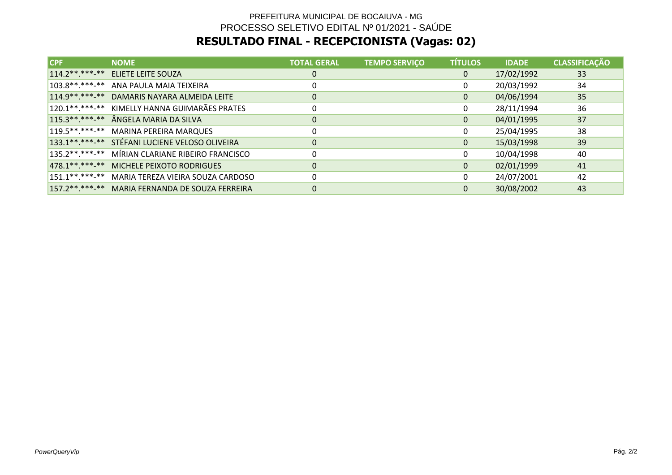# PREFEITURA MUNICIPAL DE BOCAIUVA - MG PROCESSO SELETIVO EDITAL Nº 01/2021 - SAÚDE**RESULTADO FINAL - RECEPCIONISTA (Vagas: 02)**

| CPF | <b>NOME</b>                                      | <b>TOTAL GERAL</b> | <b>TEMPO SERVIÇO</b> | <b>TÍTULOS</b> | <b>IDADE</b> | <b>CLASSIFICAÇÃO</b> |
|-----|--------------------------------------------------|--------------------|----------------------|----------------|--------------|----------------------|
|     | 114.2 ** ***- ** ELIETE LEITE SOUZA              | 0                  |                      | 0              | 17/02/1992   | 33                   |
|     | 103.8**.***-** ANA PAULA MAIA TEIXEIRA           | 0                  |                      | 0              | 20/03/1992   | 34                   |
|     | 114.9 ** ***- ** DAMARIS NAYARA ALMEIDA LEITE    | 0                  |                      | 0              | 04/06/1994   | 35                   |
|     | 120.1**.***-** KIMELLY HANNA GUIMARÃES PRATES    | 0                  |                      | 0              | 28/11/1994   | 36                   |
|     | 115.3**.***-** ÂNGELA MARIA DA SILVA             | $\mathbf 0$        |                      | 0              | 04/01/1995   | 37                   |
|     | 119.5**.***-** MARINA PEREIRA MARQUES            | 0                  |                      | 0              | 25/04/1995   | 38                   |
|     | 133.1**.***-** STÉFANI LUCIENE VELOSO OLIVEIRA   | 0                  |                      | 0              | 15/03/1998   | 39                   |
|     | 135.2**.***-** MÍRIAN CLARIANE RIBEIRO FRANCISCO | 0                  |                      | 0              | 10/04/1998   | 40                   |
|     | 478.1**.***-** MICHELE PEIXOTO RODRIGUES         | 0                  |                      | 0              | 02/01/1999   | 41                   |
|     | 151.1**.***-** MARIA TEREZA VIEIRA SOUZA CARDOSO | 0                  |                      | 0              | 24/07/2001   | 42                   |
|     | 157.2**.***-** MARIA FERNANDA DE SOUZA FERREIRA  | 0                  |                      | 0              | 30/08/2002   | 43                   |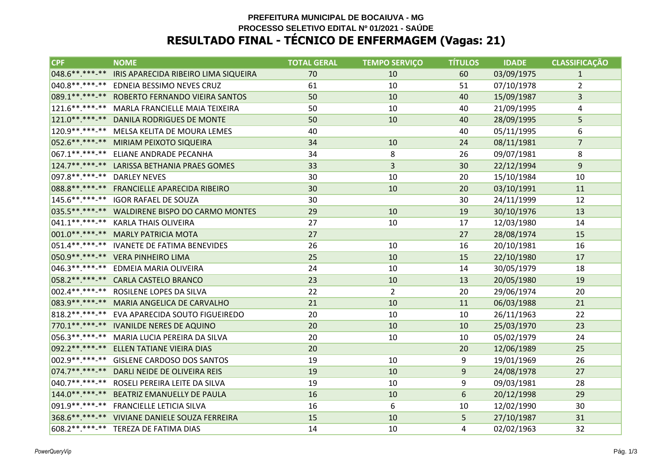#### **PREFEITURA MUNICIPAL DE BOCAIUVA - MG PROCESSO SELETIVO EDITAL Nº 01/2021 - SAÚDERESULTADO FINAL - TÉCNICO DE ENFERMAGEM (Vagas: 21)**

| <b>CPF</b>                  | <b>NOME</b>                                      | <b>TOTAL GERAL</b> | <b>TEMPO SERVIÇO</b> | <b>TÍTULOS</b> | <b>IDADE</b> | <b>CLASSIFICACÃO</b> |
|-----------------------------|--------------------------------------------------|--------------------|----------------------|----------------|--------------|----------------------|
| 048.6 **. ***-**            | IRIS APARECIDA RIBEIRO LIMA SIQUEIRA             | 70                 | 10                   | 60             | 03/09/1975   | 1                    |
|                             | 040.8 **. ***-** EDNEIA BESSIMO NEVES CRUZ       | 61                 | 10                   | 51             | 07/10/1978   | $\overline{2}$       |
|                             | 089.1**.***-** ROBERTO FERNANDO VIEIRA SANTOS    | 50                 | 10                   | 40             | 15/09/1987   | 3                    |
|                             | 121.6 ** .*** -** MARLA FRANCIELLE MAIA TEIXEIRA | 50                 | 10                   | 40             | 21/09/1995   | 4                    |
|                             | 121.0**.***-** DANILA RODRIGUES DE MONTE         | 50                 | 10                   | 40             | 28/09/1995   | 5                    |
|                             | 120.9 ** .***-** MELSA KELITA DE MOURA LEMES     | 40                 |                      | 40             | 05/11/1995   | 6                    |
|                             | 052.6 **. ***-** MIRIAM PEIXOTO SIQUEIRA         | 34                 | 10                   | 24             | 08/11/1981   | $\overline{7}$       |
|                             | 067.1**.***-** ELIANE ANDRADE PECANHA            | 34                 | 8                    | 26             | 09/07/1981   | 8                    |
|                             | 124.7**.***-** LARISSA BETHANIA PRAES GOMES      | 33                 | $\overline{3}$       | 30             | 22/12/1994   | 9                    |
| 097.8**.***-** DARLEY NEVES |                                                  | 30                 | 10                   | 20             | 15/10/1984   | 10                   |
|                             | 088.8 ** .*** -** FRANCIELLE APARECIDA RIBEIRO   | 30                 | 10                   | 20             | 03/10/1991   | 11                   |
|                             | 145.6**.***-** IGOR RAFAEL DE SOUZA              | 30                 |                      | 30             | 24/11/1999   | 12                   |
|                             | 035.5**.***-** WALDIRENE BISPO DO CARMO MONTES   | 29                 | 10                   | 19             | 30/10/1976   | 13                   |
|                             | 041.1**.***-** KARLA THAIS OLIVEIRA              | 27                 | 10                   | 17             | 12/03/1980   | 14                   |
|                             | 001.0**.***-** MARLY PATRICIA MOTA               | 27                 |                      | 27             | 28/08/1974   | 15                   |
|                             | 051.4**.***-** IVANETE DE FATIMA BENEVIDES       | 26                 | 10                   | 16             | 20/10/1981   | 16                   |
|                             | 050.9 ** .*** -** VERA PINHEIRO LIMA             | 25                 | 10                   | 15             | 22/10/1980   | 17                   |
|                             | 046.3**.***-** EDMEIA MARIA OLIVEIRA             | 24                 | 10                   | 14             | 30/05/1979   | 18                   |
|                             | 058.2 **. ***-** CARLA CASTELO BRANCO            | 23                 | 10                   | 13             | 20/05/1980   | 19                   |
|                             | 002.4**.***-** ROSILENE LOPES DA SILVA           | 22                 | $\overline{2}$       | 20             | 29/06/1974   | 20                   |
|                             | 083.9 ** ***- ** MARIA ANGELICA DE CARVALHO      | 21                 | 10                   | 11             | 06/03/1988   | 21                   |
|                             | 818.2 **. ***- ** EVA APARECIDA SOUTO FIGUEIREDO | 20                 | 10                   | 10             | 26/11/1963   | 22                   |
|                             | 770.1**.***-** IVANILDE NERES DE AQUINO          | 20                 | 10                   | 10             | 25/03/1970   | 23                   |
|                             | 056.3 **. ***-** MARIA LUCIA PEREIRA DA SILVA    | 20                 | 10                   | 10             | 05/02/1979   | 24                   |
|                             | 092.2 **. ***-** ELLEN TATIANE VIEIRA DIAS       | 20                 |                      | 20             | 12/06/1989   | 25                   |
|                             | 002.9 ** .***-** GISLENE CARDOSO DOS SANTOS      | 19                 | 10                   | 9              | 19/01/1969   | 26                   |
|                             | 074.7**.***-** DARLI NEIDE DE OLIVEIRA REIS      | 19                 | 10                   | 9              | 24/08/1978   | 27                   |
|                             | 040.7**.***-** ROSELI PEREIRA LEITE DA SILVA     | 19                 | 10                   | 9              | 09/03/1981   | 28                   |
| $144.0******$               | <b>BEATRIZ EMANUELLY DE PAULA</b>                | 16                 | 10                   | 6              | 20/12/1998   | 29                   |
|                             | 091.9**.***-** FRANCIELLE LETICIA SILVA          | 16                 | 6                    | 10             | 12/02/1990   | 30                   |
|                             | 368.6 **. ***-** VIVIANE DANIELE SOUZA FERREIRA  | 15                 | 10                   | 5              | 27/10/1987   | 31                   |
|                             | 608.2**.***-** TEREZA DE FATIMA DIAS             | 14                 | 10                   | 4              | 02/02/1963   | 32                   |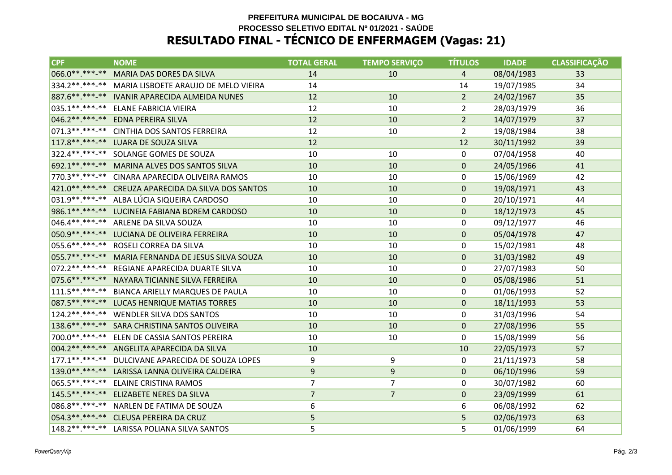#### **PREFEITURA MUNICIPAL DE BOCAIUVA - MG PROCESSO SELETIVO EDITAL Nº 01/2021 - SAÚDERESULTADO FINAL - TÉCNICO DE ENFERMAGEM (Vagas: 21)**

| <b>CPF</b>       | <b>NOME</b>                                           | <b>TOTAL GERAL</b> | <b>TEMPO SERVIÇO</b> | <b>TÍTULOS</b> | <b>IDADE</b> | <b>CLASSIFICAÇÃO</b> |
|------------------|-------------------------------------------------------|--------------------|----------------------|----------------|--------------|----------------------|
| 066.0**.***-**   | MARIA DAS DORES DA SILVA                              | 14                 | 10                   | 4              | 08/04/1983   | 33                   |
|                  | 334.2 ** .** * * MARIA LISBOETE ARAUJO DE MELO VIEIRA | 14                 |                      | 14             | 19/07/1985   | 34                   |
|                  | 887.6 ** .*** -** IVANIR APARECIDA ALMEIDA NUNES      | 12                 | 10                   | $\overline{2}$ | 24/02/1967   | 35                   |
| 035.1**.***-**   | ELANE FABRICIA VIEIRA                                 | 12                 | 10                   | $\overline{2}$ | 28/03/1979   | 36                   |
| 046.2 ** *** -** | EDNA PEREIRA SILVA                                    | 12                 | 10                   | 2 <sup>1</sup> | 14/07/1979   | 37                   |
|                  | 071.3 ** .***-** CINTHIA DOS SANTOS FERREIRA          | 12                 | 10                   | $\overline{2}$ | 19/08/1984   | 38                   |
|                  | 117.8 ** .** * * * LUARA DE SOUZA SILVA               | 12                 |                      | 12             | 30/11/1992   | 39                   |
|                  | 322.4**.***-** SOLANGE GOMES DE SOUZA                 | 10                 | 10                   | 0              | 07/04/1958   | 40                   |
|                  | 692.1**.***-** MARINA ALVES DOS SANTOS SILVA          | 10                 | 10                   | 0              | 24/05/1966   | 41                   |
|                  | 770.3 **. ***- ** CINARA APARECIDA OLIVEIRA RAMOS     | 10                 | 10                   | 0              | 15/06/1969   | 42                   |
|                  | 421.0**.***-** CREUZA APARECIDA DA SILVA DOS SANTOS   | 10                 | 10                   | 0              | 19/08/1971   | 43                   |
|                  | 031.9 ** .*** -** ALBA LÚCIA SIQUEIRA CARDOSO         | 10                 | 10                   | 0              | 20/10/1971   | 44                   |
|                  | 986.1**.***-** LUCINEIA FABIANA BOREM CARDOSO         | 10                 | 10                   | 0              | 18/12/1973   | 45                   |
|                  | 046.4**.***-** ARLENE DA SILVA SOUZA                  | 10                 | 10                   | 0              | 09/12/1977   | 46                   |
|                  | 050.9 ** .***-** LUCIANA DE OLIVEIRA FERREIRA         | 10                 | 10                   | 0              | 05/04/1978   | 47                   |
|                  | 055.6**.***-** ROSELI CORREA DA SILVA                 | 10                 | 10                   | 0              | 15/02/1981   | 48                   |
|                  | 055.7** ***-** MARIA FERNANDA DE JESUS SILVA SOUZA    | 10                 | 10                   | 0              | 31/03/1982   | 49                   |
|                  | 072.2 **. ***-** REGIANE APARECIDA DUARTE SILVA       | 10                 | 10                   | 0              | 27/07/1983   | 50                   |
|                  | 075.6 **. ***-** NAYARA TICIANNE SILVA FERREIRA       | 10                 | 10                   | 0              | 05/08/1986   | 51                   |
| $111.5******$    | <b>BIANCA ARIELLY MARQUES DE PAULA</b>                | 10                 | 10                   | 0              | 01/06/1993   | 52                   |
|                  | 087.5 ** ***- ** LUCAS HENRIQUE MATIAS TORRES         | 10                 | 10                   | 0              | 18/11/1993   | 53                   |
|                  | 124.2**.***-** WENDLER SILVA DOS SANTOS               | 10                 | 10                   | 0              | 31/03/1996   | 54                   |
|                  | 138.6**.***-** SARA CHRISTINA SANTOS OLIVEIRA         | 10                 | 10                   | 0              | 27/08/1996   | 55                   |
| 700.0**.***-**   | ELEN DE CASSIA SANTOS PEREIRA                         | 10                 | 10                   | 0              | 15/08/1999   | 56                   |
|                  | 004.2 ** .***-** ANGELITA APARECIDA DA SILVA          | 10                 |                      | 10             | 22/05/1973   | 57                   |
|                  | 177.1**.***-** DULCIVANE APARECIDA DE SOUZA LOPES     | 9                  | 9                    | 0              | 21/11/1973   | 58                   |
|                  | 139.0 **. ***- ** LARISSA LANNA OLIVEIRA CALDEIRA     | $\overline{9}$     | $\mathsf 9$          | 0              | 06/10/1996   | 59                   |
| 065.5**.***-**   | <b>ELAINE CRISTINA RAMOS</b>                          | 7                  | $\overline{7}$       | 0              | 30/07/1982   | 60                   |
| 145.5 ** ***-**  | ELIZABETE NERES DA SILVA                              | $\overline{7}$     | $\overline{7}$       | 0              | 23/09/1999   | 61                   |
|                  | 086.8 **. ***-** NARLEN DE FATIMA DE SOUZA            | 6                  |                      | 6              | 06/08/1992   | 62                   |
|                  | 054.3 ** ***- ** CLEUSA PEREIRA DA CRUZ               | 5                  |                      | 5              | 02/06/1973   | 63                   |
|                  | 148.2**.***-** LARISSA POLIANA SILVA SANTOS           | 5                  |                      | 5              | 01/06/1999   | 64                   |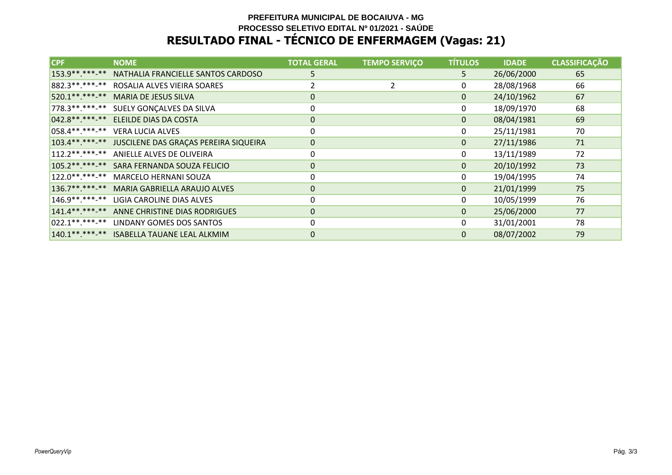### **PREFEITURA MUNICIPAL DE BOCAIUVA - MG PROCESSO SELETIVO EDITAL Nº 01/2021 - SAÚDERESULTADO FINAL - TÉCNICO DE ENFERMAGEM (Vagas: 21)**

| <b>CPF</b>            | <b>NOME</b>                                         | <b>TOTAL GERAL</b> | <b>TEMPO SERVIÇO</b> | <b>TÍTULOS</b> | <b>IDADE</b> | <b>CLASSIFICAÇÃO</b> |
|-----------------------|-----------------------------------------------------|--------------------|----------------------|----------------|--------------|----------------------|
| 153.9 ** ***-**       | NATHALIA FRANCIELLE SANTOS CARDOSO                  | 5.                 |                      | 5.             | 26/06/2000   | 65                   |
|                       | 882.3 **. ***-** ROSALIA ALVES VIEIRA SOARES        |                    |                      | 0              | 28/08/1968   | 66                   |
| 520.1**.***-**        | <b>MARIA DE JESUS SILVA</b>                         | 0                  |                      | 0              | 24/10/1962   | 67                   |
| 778.3 * * * * * - * * | SUELY GONÇALVES DA SILVA                            | 0                  |                      | 0              | 18/09/1970   | 68                   |
|                       | 042.8**.***-** ELEILDE DIAS DA COSTA                | 0                  |                      | 0              | 08/04/1981   | 69                   |
| 058.4**.***-**        | <b>VERA LUCIA ALVES</b>                             | 0                  |                      | 0              | 25/11/1981   | 70                   |
|                       | 103.4******** JUSCILENE DAS GRAÇAS PEREIRA SIQUEIRA | 0                  |                      | $\mathbf{0}$   | 27/11/1986   | 71                   |
|                       | 112.2**.***-** ANIELLE ALVES DE OLIVEIRA            | 0                  |                      | 0              | 13/11/1989   | 72                   |
|                       | 105.2 **. ***-** SARA FERNANDA SOUZA FELICIO        | $\mathbf 0$        |                      | 0              | 20/10/1992   | 73                   |
| 122.0 * * * * * - * * | MARCELO HERNANI SOUZA                               | $\mathbf{0}$       |                      | 0              | 19/04/1995   | 74                   |
| $136.7******$         | MARIA GABRIELLA ARAUJO ALVES                        | $\mathbf 0$        |                      | 0              | 21/01/1999   | 75                   |
|                       | 146.9**.***-** LIGIA CAROLINE DIAS ALVES            | $\mathbf 0$        |                      | 0              | 10/05/1999   | 76                   |
| $141.4******$         | ANNE CHRISTINE DIAS RODRIGUES                       | 0                  |                      | 0              | 25/06/2000   | 77                   |
|                       | 022.1**.***-** LINDANY GOMES DOS SANTOS             | 0                  |                      | 0              | 31/01/2001   | 78                   |
|                       | 140.1**.***-** ISABELLA TAUANE LEAL ALKMIM          | $\mathbf 0$        |                      | $\mathbf{0}$   | 08/07/2002   | 79                   |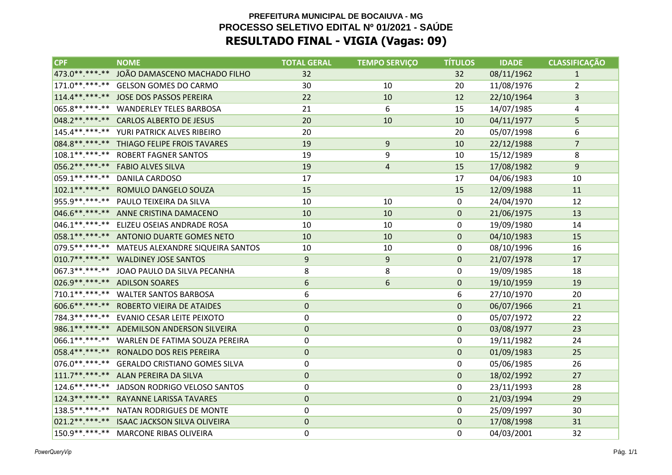| <b>CPF</b>        | <b>NOME</b>                                | <b>TOTAL GERAL</b> | <b>TEMPO SERVIÇO</b> | <b>TÍTULOS</b> | <b>IDADE</b> | <b>CLASSIFICAÇÃO</b> |
|-------------------|--------------------------------------------|--------------------|----------------------|----------------|--------------|----------------------|
| 473.0 ** *** -**  | JOÃO DAMASCENO MACHADO FILHO               | 32                 |                      | 32             | 08/11/1962   | $\mathbf{1}$         |
| $171.0******$     | <b>GELSON GOMES DO CARMO</b>               | 30                 | 10                   | 20             | 11/08/1976   | $\overline{2}$       |
|                   | 114.4**.***-** JOSE DOS PASSOS PEREIRA     | 22                 | 10                   | 12             | 22/10/1964   | 3                    |
| 065.8 ** *** -**  | <b>WANDERLEY TELES BARBOSA</b>             | 21                 | 6                    | 15             | 14/07/1985   | 4                    |
| $048.2*********$  | <b>CARLOS ALBERTO DE JESUS</b>             | 20                 | 10                   | 10             | 04/11/1977   | 5                    |
| $145.4******$     | YURI PATRICK ALVES RIBEIRO                 | 20                 |                      | 20             | 05/07/1998   | 6                    |
|                   | 084.8**.***-** THIAGO FELIPE FROIS TAVARES | 19                 | 9                    | 10             | 22/12/1988   | $\overline{7}$       |
| $108.1******$     | <b>ROBERT FAGNER SANTOS</b>                | 19                 | 9                    | 10             | 15/12/1989   | 8                    |
| 056.2 ** *** -**  | <b>FABIO ALVES SILVA</b>                   | 19                 | 4                    | 15             | 17/08/1982   | 9                    |
| 059.1**.***-**    | <b>DANILA CARDOSO</b>                      | 17                 |                      | 17             | 04/06/1983   | 10                   |
| $102.1******$     | ROMULO DANGELO SOUZA                       | 15                 |                      | 15             | 12/09/1988   | 11                   |
| 955.9 ** *** -**  | PAULO TEIXEIRA DA SILVA                    | 10                 | 10                   | 0              | 24/04/1970   | 12                   |
| $046.6*********$  | ANNE CRISTINA DAMACENO                     | 10                 | 10                   | $\mathbf{0}$   | 21/06/1975   | 13                   |
| $046.1******$     | ELIZEU OSEIAS ANDRADE ROSA                 | 10                 | 10                   | 0              | 19/09/1980   | 14                   |
|                   | 058.1**.***-** ANTONIO DUARTE GOMES NETO   | 10                 | 10                   | $\mathbf 0$    | 04/10/1983   | 15                   |
| $079.5*********$  | MATEUS ALEXANDRE SIQUEIRA SANTOS           | 10                 | 10                   | $\Omega$       | 08/10/1996   | 16                   |
| $010.7*********$  | <b>WALDINEY JOSE SANTOS</b>                | 9                  | 9                    | $\mathbf 0$    | 21/07/1978   | 17                   |
|                   | 067.3**.***-** JOAO PAULO DA SILVA PECANHA | 8                  | 8                    | 0              | 19/09/1985   | 18                   |
|                   | 026.9**.***-** ADILSON SOARES              | 6                  | 6                    | $\mathbf 0$    | 19/10/1959   | 19                   |
| 710.1**.***-**    | <b>WALTER SANTOS BARBOSA</b>               | 6                  |                      | 6              | 27/10/1970   | 20                   |
| 606.6**.***-**    | <b>ROBERTO VIEIRA DE ATAIDES</b>           | $\mathbf 0$        |                      | $\mathbf 0$    | 06/07/1966   | 21                   |
| 784.3 **. ***- ** | EVANIO CESAR LEITE PEIXOTO                 | 0                  |                      | 0              | 05/07/1972   | 22                   |
|                   | 986.1**.***-** ADEMILSON ANDERSON SILVEIRA | $\mathbf 0$        |                      | $\mathbf 0$    | 03/08/1977   | 23                   |
| 066.1**.***-**    | WARLEN DE FATIMA SOUZA PEREIRA             | 0                  |                      | 0              | 19/11/1982   | 24                   |
| 058.4**.***-**    | RONALDO DOS REIS PEREIRA                   | $\Omega$           |                      | $\Omega$       | 01/09/1983   | 25                   |
| $076.0*********$  | <b>GERALDO CRISTIANO GOMES SILVA</b>       | 0                  |                      | 0              | 05/06/1985   | 26                   |
|                   | 111.7**.***-** ALAN PEREIRA DA SILVA       | $\mathbf 0$        |                      | $\mathbf 0$    | 18/02/1992   | 27                   |
| $124.6*********$  | JADSON RODRIGO VELOSO SANTOS               | 0                  |                      | 0              | 23/11/1993   | 28                   |
| $124.3******$     | RAYANNE LARISSA TAVARES                    | $\mathbf 0$        |                      | $\mathbf 0$    | 21/03/1994   | 29                   |
| $138.5*********$  | NATAN RODRIGUES DE MONTE                   | $\mathbf 0$        |                      | 0              | 25/09/1997   | 30                   |
| $021.2*********$  | <b>ISAAC JACKSON SILVA OLIVEIRA</b>        | 0                  |                      | $\mathbf 0$    | 17/08/1998   | 31                   |
| 150.9**.***-**    | <b>MARCONE RIBAS OLIVEIRA</b>              | 0                  |                      | 0              | 04/03/2001   | 32                   |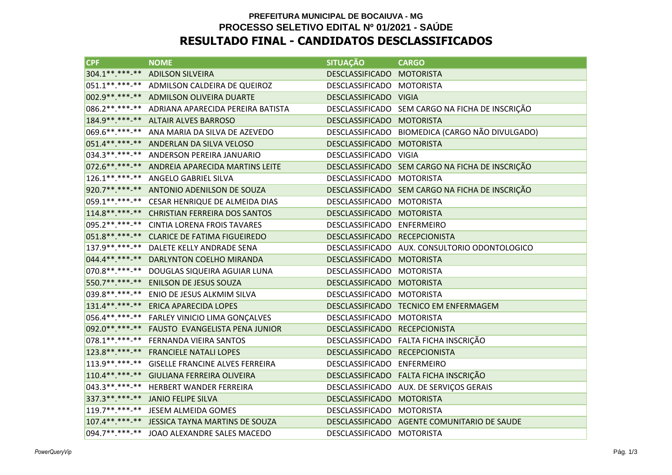### **PREFEITURA MUNICIPAL DE BOCAIUVA - MG PROCESSO SELETIVO EDITAL Nº 01/2021 - SAÚDERESULTADO FINAL - CANDIDATOS DESCLASSIFICADOS**

| <b>CPF</b>          | <b>NOME</b>                                   | <b>SITUAÇÃO</b>               | <b>CARGO</b>                                    |
|---------------------|-----------------------------------------------|-------------------------------|-------------------------------------------------|
| 304.1**.***-**      | <b>ADILSON SILVEIRA</b>                       | DESCLASSIFICADO MOTORISTA     |                                                 |
| $051.1*********$    | ADMILSON CALDEIRA DE QUEIROZ                  | DESCLASSIFICADO MOTORISTA     |                                                 |
|                     | 002.9 **. ***-** ADMILSON OLIVEIRA DUARTE     | DESCLASSIFICADO VIGIA         |                                                 |
| 086.2 ** *** -**    | ADRIANA APARECIDA PEREIRA BATISTA             |                               | DESCLASSIFICADO SEM CARGO NA FICHA DE INSCRIÇÃO |
| 184.9 ** *** -**    | <b>ALTAIR ALVES BARROSO</b>                   | <b>DESCLASSIFICADO</b>        | <b>MOTORISTA</b>                                |
| 069.6**.***-**      | ANA MARIA DA SILVA DE AZEVEDO                 | DESCLASSIFICADO               | BIOMEDICA (CARGO NÃO DIVULGADO)                 |
| $051.4*********$    | ANDERLAN DA SILVA VELOSO                      | <b>DESCLASSIFICADO</b>        | <b>MOTORISTA</b>                                |
|                     | 034.3 **. ***-** ANDERSON PEREIRA JANUARIO    | DESCLASSIFICADO VIGIA         |                                                 |
| 072.6 **. ***-**    | ANDREIA APARECIDA MARTINS LEITE               |                               | DESCLASSIFICADO SEM CARGO NA FICHA DE INSCRIÇÃO |
| $126.1*********$    | ANGELO GABRIEL SILVA                          | DESCLASSIFICADO MOTORISTA     |                                                 |
| 920.7**.***-**      | ANTONIO ADENILSON DE SOUZA                    |                               | DESCLASSIFICADO SEM CARGO NA FICHA DE INSCRIÇÃO |
| 059.1**.***-**      | CESAR HENRIQUE DE ALMEIDA DIAS                | DESCLASSIFICADO               | <b>MOTORISTA</b>                                |
| $114.8******$       | <b>CHRISTIAN FERREIRA DOS SANTOS</b>          | <b>DESCLASSIFICADO</b>        | <b>MOTORISTA</b>                                |
| 095.2 ** *** -**    | <b>CINTIA LORENA FROIS TAVARES</b>            | DESCLASSIFICADO ENFERMEIRO    |                                                 |
| 051.8 ** *** -**    | <b>CLARICE DE FATIMA FIGUEIREDO</b>           | DESCLASSIFICADO RECEPCIONISTA |                                                 |
| 137.9 ** *** -**    | DALETE KELLY ANDRADE SENA                     |                               | DESCLASSIFICADO AUX. CONSULTORIO ODONTOLOGICO   |
| 044.4**.***-**      | DARLYNTON COELHO MIRANDA                      | DESCLASSIFICADO               | <b>MOTORISTA</b>                                |
| 070.8**.***-**      | DOUGLAS SIQUEIRA AGUIAR LUNA                  | DESCLASSIFICADO               | <b>MOTORISTA</b>                                |
| 550.7**.***-**      | <b>ENILSON DE JESUS SOUZA</b>                 | DESCLASSIFICADO               | <b>MOTORISTA</b>                                |
| 039.8 ** . *** - ** | ENIO DE JESUS ALKMIM SILVA                    | DESCLASSIFICADO               | <b>MOTORISTA</b>                                |
| 131.4**.***-**      | <b>ERICA APARECIDA LOPES</b>                  | <b>DESCLASSIFICADO</b>        | <b>TECNICO EM ENFERMAGEM</b>                    |
| 056.4**.***-**      | FARLEY VINICIO LIMA GONÇALVES                 | DESCLASSIFICADO               | <b>MOTORISTA</b>                                |
| 092.0 ** *** **     | FAUSTO EVANGELISTA PENA JUNIOR                | DESCLASSIFICADO RECEPCIONISTA |                                                 |
| $078.1******$       | FERNANDA VIEIRA SANTOS                        |                               | DESCLASSIFICADO FALTA FICHA INSCRIÇÃO           |
| 123.8 ** *** -**    | <b>FRANCIELE NATALI LOPES</b>                 | DESCLASSIFICADO RECEPCIONISTA |                                                 |
| $113.9*********$    | <b>GISELLE FRANCINE ALVES FERREIRA</b>        | DESCLASSIFICADO ENFERMEIRO    |                                                 |
| $110.4*********$    | <b>GIULIANA FERREIRA OLIVEIRA</b>             |                               | DESCLASSIFICADO FALTA FICHA INSCRIÇÃO           |
| $043.3*********$    | <b>HERBERT WANDER FERREIRA</b>                | DESCLASSIFICADO               | AUX. DE SERVIÇOS GERAIS                         |
| 337.3 ** *** -**    | <b>JANIO FELIPE SILVA</b>                     | <b>DESCLASSIFICADO</b>        | <b>MOTORISTA</b>                                |
| $119.7*********$    | <b>JESEM ALMEIDA GOMES</b>                    | DESCLASSIFICADO               | <b>MOTORISTA</b>                                |
|                     | 107.4**.***-** JESSICA TAYNA MARTINS DE SOUZA |                               | DESCLASSIFICADO AGENTE COMUNITARIO DE SAUDE     |
| 094.7**.***-**      | JOAO ALEXANDRE SALES MACEDO                   | DESCLASSIFICADO MOTORISTA     |                                                 |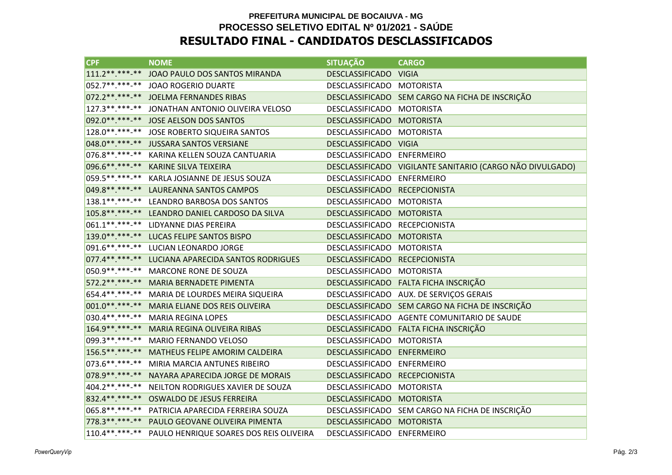### **PREFEITURA MUNICIPAL DE BOCAIUVA - MG PROCESSO SELETIVO EDITAL Nº 01/2021 - SAÚDERESULTADO FINAL - CANDIDATOS DESCLASSIFICADOS**

| <b>CPF</b>        | <b>NOME</b>                             | <b>SITUAÇÃO</b>            | <b>CARGO</b>                                              |
|-------------------|-----------------------------------------|----------------------------|-----------------------------------------------------------|
| $111.2*********$  | JOAO PAULO DOS SANTOS MIRANDA           | DESCLASSIFICADO VIGIA      |                                                           |
| 052.7**.***-**    | <b>JOAO ROGERIO DUARTE</b>              | DESCLASSIFICADO MOTORISTA  |                                                           |
|                   | 072.2**.***-** JOELMA FERNANDES RIBAS   |                            | DESCLASSIFICADO SEM CARGO NA FICHA DE INSCRIÇÃO           |
| 127.3 **. ***-**  | JONATHAN ANTONIO OLIVEIRA VELOSO        | DESCLASSIFICADO            | <b>MOTORISTA</b>                                          |
| 092.0 ** *** -**  | JOSE AELSON DOS SANTOS                  | <b>DESCLASSIFICADO</b>     | <b>MOTORISTA</b>                                          |
| 128.0**.***-**    | JOSE ROBERTO SIQUEIRA SANTOS            | <b>DESCLASSIFICADO</b>     | <b>MOTORISTA</b>                                          |
|                   | 048.0**.***-** JUSSARA SANTOS VERSIANE  | DESCLASSIFICADO VIGIA      |                                                           |
| 076.8**.***-**    | KARINA KELLEN SOUZA CANTUARIA           | DESCLASSIFICADO ENFERMEIRO |                                                           |
| 096.6**.***-**    | <b>KARINE SILVA TEIXEIRA</b>            |                            | DESCLASSIFICADO VIGILANTE SANITARIO (CARGO NÃO DIVULGADO) |
| 059.5**.***-**    | KARLA JOSIANNE DE JESUS SOUZA           | DESCLASSIFICADO            | <b>ENFERMEIRO</b>                                         |
| 049.8 ** *** -**  | LAUREANNA SANTOS CAMPOS                 | DESCLASSIFICADO            | <b>RECEPCIONISTA</b>                                      |
| $138.1******$     | LEANDRO BARBOSA DOS SANTOS              | DESCLASSIFICADO            | <b>MOTORISTA</b>                                          |
| 105.8**.***-**    | LEANDRO DANIEL CARDOSO DA SILVA         | <b>DESCLASSIFICADO</b>     | <b>MOTORISTA</b>                                          |
| 061.1**.***-**    | LIDYANNE DIAS PEREIRA                   | <b>DESCLASSIFICADO</b>     | <b>RECEPCIONISTA</b>                                      |
| 139.0**.***-**    | LUCAS FELIPE SANTOS BISPO               | <b>DESCLASSIFICADO</b>     | <b>MOTORISTA</b>                                          |
| 091.6**.***-**    | LUCIAN LEONARDO JORGE                   | DESCLASSIFICADO            | MOTORISTA                                                 |
| 077.4**.***-**    | LUCIANA APARECIDA SANTOS RODRIGUES      | DESCLASSIFICADO            | <b>RECEPCIONISTA</b>                                      |
| 050.9 ** .*** -** | <b>MARCONE RONE DE SOUZA</b>            | <b>DESCLASSIFICADO</b>     | <b>MOTORISTA</b>                                          |
| 572.2 ** ***-**   | MARIA BERNADETE PIMENTA                 | <b>DESCLASSIFICADO</b>     | FALTA FICHA INSCRIÇÃO                                     |
| 654.4**.***-**    | MARIA DE LOURDES MEIRA SIQUEIRA         |                            | DESCLASSIFICADO AUX. DE SERVIÇOS GERAIS                   |
| $001.0*********$  | MARIA ELIANE DOS REIS OLIVEIRA          | <b>DESCLASSIFICADO</b>     | SEM CARGO NA FICHA DE INSCRIÇÃO                           |
| 030.4**.***-**    | <b>MARIA REGINA LOPES</b>               | <b>DESCLASSIFICADO</b>     | AGENTE COMUNITARIO DE SAUDE                               |
| 164.9**.***-**    | <b>MARIA REGINA OLIVEIRA RIBAS</b>      |                            | DESCLASSIFICADO FALTA FICHA INSCRIÇÃO                     |
| 099.3**.***-**    | MARIO FERNANDO VELOSO                   | DESCLASSIFICADO            | <b>MOTORISTA</b>                                          |
| 156.5**.***-**    | MATHEUS FELIPE AMORIM CALDEIRA          | DESCLASSIFICADO            | <b>ENFERMEIRO</b>                                         |
| 073.6 **. ***-**  | MIRIA MARCIA ANTUNES RIBEIRO            | DESCLASSIFICADO ENFERMEIRO |                                                           |
| 078.9 ** *** -**  | NAYARA APARECIDA JORGE DE MORAIS        | <b>DESCLASSIFICADO</b>     | <b>RECEPCIONISTA</b>                                      |
| 404.2 ** *** -**  | NEILTON RODRIGUES XAVIER DE SOUZA       | <b>DESCLASSIFICADO</b>     | <b>MOTORISTA</b>                                          |
| 832.4 ** *** -**  | <b>OSWALDO DE JESUS FERREIRA</b>        | <b>DESCLASSIFICADO</b>     | <b>MOTORISTA</b>                                          |
| 065.8**.***-**    | PATRICIA APARECIDA FERREIRA SOUZA       | DESCLASSIFICADO            | SEM CARGO NA FICHA DE INSCRIÇÃO                           |
| 778.3 ** *** **   | PAULO GEOVANE OLIVEIRA PIMENTA          | <b>DESCLASSIFICADO</b>     | <b>MOTORISTA</b>                                          |
| $110.4*********$  | PAULO HENRIQUE SOARES DOS REIS OLIVEIRA | <b>DESCLASSIFICADO</b>     | <b>ENFERMEIRO</b>                                         |